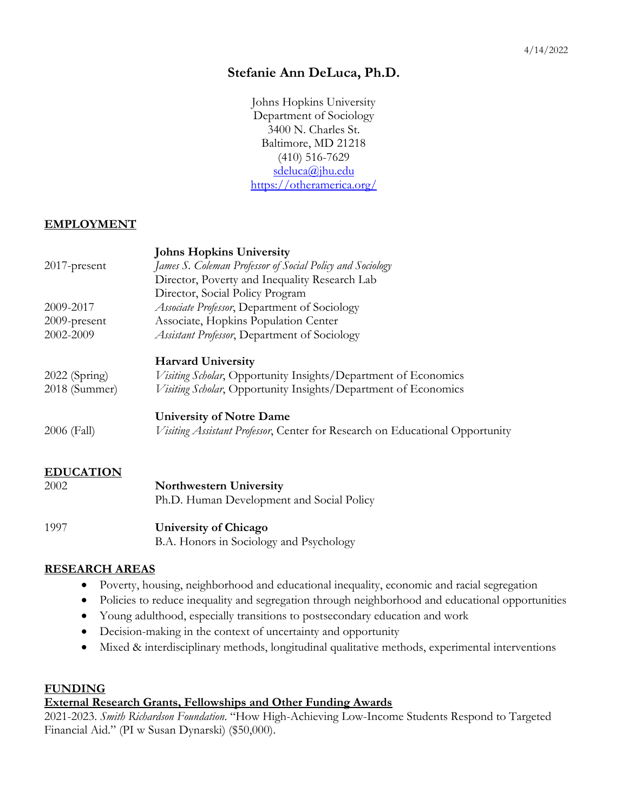## **Stefanie Ann DeLuca, Ph.D.**

Johns Hopkins University Department of Sociology 3400 N. Charles St. Baltimore, MD 21218 (410) 516-7629 [sdeluca@jhu.edu](mailto:sdeluca@jhu.edu) <https://otheramerica.org/>

### **EMPLOYMENT**

|                  | <b>Johns Hopkins University</b>                                              |
|------------------|------------------------------------------------------------------------------|
| $2017$ -present  | James S. Coleman Professor of Social Policy and Sociology                    |
|                  | Director, Poverty and Inequality Research Lab                                |
|                  | Director, Social Policy Program                                              |
| 2009-2017        | <i>Associate Professor</i> , Department of Sociology                         |
| 2009-present     | Associate, Hopkins Population Center                                         |
| 2002-2009        | <b>Assistant Professor, Department of Sociology</b>                          |
|                  | <b>Harvard University</b>                                                    |
| $2022$ (Spring)  | <i>Visiting Scholar</i> , Opportunity Insights/Department of Economics       |
| 2018 (Summer)    | Visiting Scholar, Opportunity Insights/Department of Economics               |
|                  | <b>University of Notre Dame</b>                                              |
| 2006 (Fall)      | Visiting Assistant Professor, Center for Research on Educational Opportunity |
| <b>EDUCATION</b> |                                                                              |
| 2002             | <b>Northwestern University</b>                                               |
|                  | Ph.D. Human Development and Social Policy                                    |
| 1997             | <b>University of Chicago</b>                                                 |
|                  | B.A. Honors in Sociology and Psychology                                      |

#### **RESEARCH AREAS**

- Poverty, housing, neighborhood and educational inequality, economic and racial segregation
- Policies to reduce inequality and segregation through neighborhood and educational opportunities
- Young adulthood, especially transitions to postsecondary education and work
- Decision-making in the context of uncertainty and opportunity
- Mixed & interdisciplinary methods, longitudinal qualitative methods, experimental interventions

#### **FUNDING**

### **External Research Grants, Fellowships and Other Funding Awards**

2021-2023. *Smith Richardson Foundation*. "How High-Achieving Low-Income Students Respond to Targeted Financial Aid." (PI w Susan Dynarski) (\$50,000).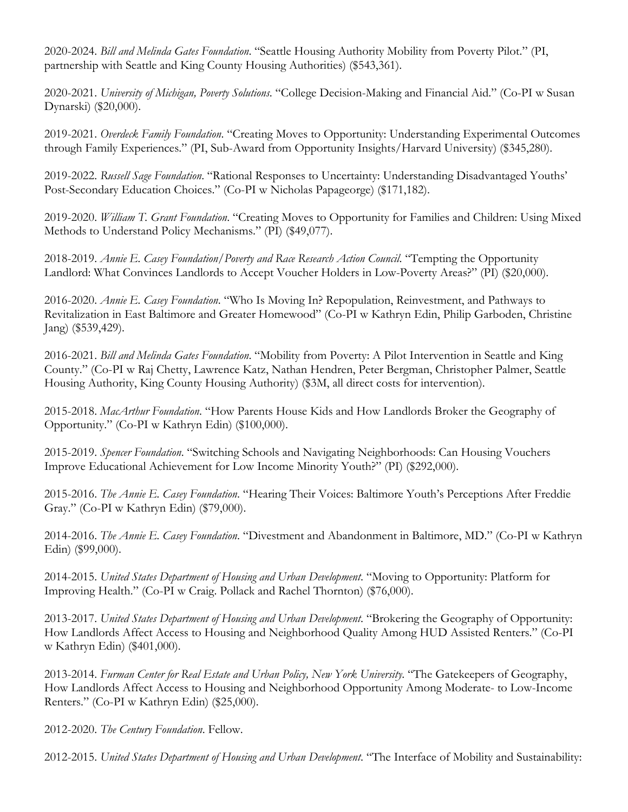2020-2024. *Bill and Melinda Gates Foundation*. "Seattle Housing Authority Mobility from Poverty Pilot." (PI, partnership with Seattle and King County Housing Authorities) (\$543,361).

2020-2021. *University of Michigan, Poverty Solutions*. "College Decision-Making and Financial Aid." (Co-PI w Susan Dynarski) (\$20,000).

2019-2021. *Overdeck Family Foundation*. "Creating Moves to Opportunity: Understanding Experimental Outcomes through Family Experiences." (PI, Sub-Award from Opportunity Insights/Harvard University) (\$345,280).

2019-2022. *Russell Sage Foundation*. "Rational Responses to Uncertainty: Understanding Disadvantaged Youths' Post-Secondary Education Choices." (Co-PI w Nicholas Papageorge) (\$171,182).

2019-2020. *William T. Grant Foundation*. "Creating Moves to Opportunity for Families and Children: Using Mixed Methods to Understand Policy Mechanisms." (PI) (\$49,077).

2018-2019. *Annie E. Casey Foundation/Poverty and Race Research Action Council*. "Tempting the Opportunity Landlord: What Convinces Landlords to Accept Voucher Holders in Low-Poverty Areas?" (PI) (\$20,000).

2016-2020. *Annie E. Casey Foundation*. "Who Is Moving In? Repopulation, Reinvestment, and Pathways to Revitalization in East Baltimore and Greater Homewood" (Co-PI w Kathryn Edin, Philip Garboden, Christine Jang) (\$539,429).

2016-2021. *Bill and Melinda Gates Foundation*. "Mobility from Poverty: A Pilot Intervention in Seattle and King County." (Co-PI w Raj Chetty, Lawrence Katz, Nathan Hendren, Peter Bergman, Christopher Palmer, Seattle Housing Authority, King County Housing Authority) (\$3M, all direct costs for intervention).

2015-2018. *MacArthur Foundation*. "How Parents House Kids and How Landlords Broker the Geography of Opportunity." (Co-PI w Kathryn Edin) (\$100,000).

2015-2019. *Spencer Foundation*. "Switching Schools and Navigating Neighborhoods: Can Housing Vouchers Improve Educational Achievement for Low Income Minority Youth?" (PI) (\$292,000).

2015-2016. *The Annie E. Casey Foundation*. "Hearing Their Voices: Baltimore Youth's Perceptions After Freddie Gray." (Co-PI w Kathryn Edin) (\$79,000).

2014-2016. *The Annie E. Casey Foundation*. "Divestment and Abandonment in Baltimore, MD." (Co-PI w Kathryn Edin) (\$99,000).

2014-2015. *United States Department of Housing and Urban Development*. "Moving to Opportunity: Platform for Improving Health." (Co-PI w Craig. Pollack and Rachel Thornton) (\$76,000).

2013-2017. *United States Department of Housing and Urban Development*. "Brokering the Geography of Opportunity: How Landlords Affect Access to Housing and Neighborhood Quality Among HUD Assisted Renters." (Co-PI w Kathryn Edin) (\$401,000).

2013-2014. *Furman Center for Real Estate and Urban Policy, New York University*. "The Gatekeepers of Geography, How Landlords Affect Access to Housing and Neighborhood Opportunity Among Moderate- to Low-Income Renters." (Co-PI w Kathryn Edin) (\$25,000).

2012-2020. *The Century Foundation*. Fellow.

2012-2015. *United States Department of Housing and Urban Development*. "The Interface of Mobility and Sustainability: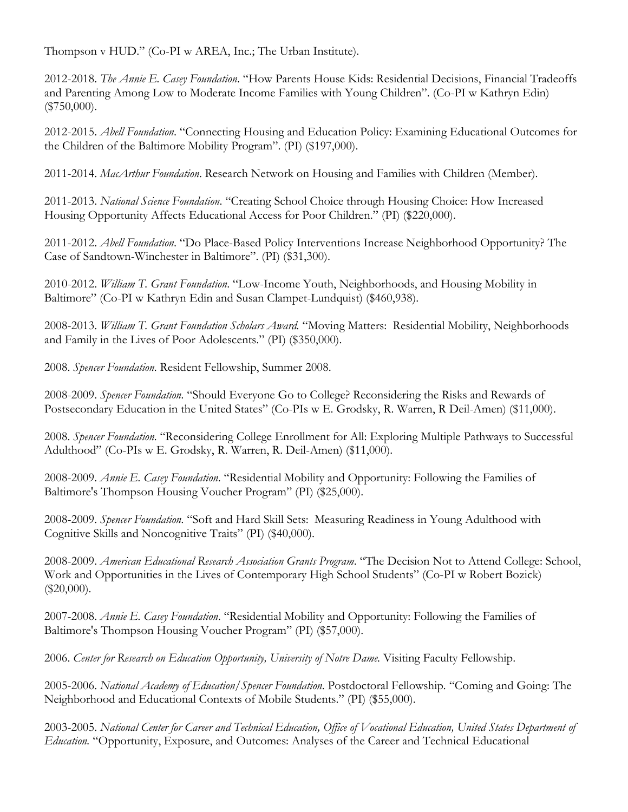Thompson v HUD." (Co-PI w AREA, Inc.; The Urban Institute).

2012-2018. *The Annie E. Casey Foundation*. "How Parents House Kids: Residential Decisions, Financial Tradeoffs and Parenting Among Low to Moderate Income Families with Young Children". (Co-PI w Kathryn Edin) (\$750,000).

2012-2015. *Abell Foundation*. "Connecting Housing and Education Policy: Examining Educational Outcomes for the Children of the Baltimore Mobility Program". (PI) (\$197,000).

2011-2014. *MacArthur Foundation*. Research Network on Housing and Families with Children (Member).

2011-2013. *National Science Foundation*. "Creating School Choice through Housing Choice: How Increased Housing Opportunity Affects Educational Access for Poor Children." (PI) (\$220,000).

2011-2012. *Abell Foundation*. "Do Place-Based Policy Interventions Increase Neighborhood Opportunity? The Case of Sandtown-Winchester in Baltimore". (PI) (\$31,300).

2010-2012. *William T. Grant Foundation*. "Low-Income Youth, Neighborhoods, and Housing Mobility in Baltimore" (Co-PI w Kathryn Edin and Susan Clampet-Lundquist) (\$460,938).

2008-2013. *William T. Grant Foundation Scholars Award.* "Moving Matters: Residential Mobility, Neighborhoods and Family in the Lives of Poor Adolescents." (PI) (\$350,000).

2008. *Spencer Foundation.* Resident Fellowship, Summer 2008.

2008-2009. *Spencer Foundation.* "Should Everyone Go to College? Reconsidering the Risks and Rewards of Postsecondary Education in the United States" (Co-PIs w E. Grodsky, R. Warren, R Deil-Amen) (\$11,000).

2008. *Spencer Foundation.* "Reconsidering College Enrollment for All: Exploring Multiple Pathways to Successful Adulthood" (Co-PIs w E. Grodsky, R. Warren, R. Deil-Amen) (\$11,000).

2008-2009. *Annie E. Casey Foundation*. "Residential Mobility and Opportunity: Following the Families of Baltimore's Thompson Housing Voucher Program" (PI) (\$25,000).

2008-2009. *Spencer Foundation.* "Soft and Hard Skill Sets: Measuring Readiness in Young Adulthood with Cognitive Skills and Noncognitive Traits" (PI) (\$40,000).

2008-2009. *American Educational Research Association Grants Program*. "The Decision Not to Attend College: School, Work and Opportunities in the Lives of Contemporary High School Students" (Co-PI w Robert Bozick) (\$20,000).

2007-2008. *Annie E. Casey Foundation*. "Residential Mobility and Opportunity: Following the Families of Baltimore's Thompson Housing Voucher Program" (PI) (\$57,000).

2006. *Center for Research on Education Opportunity, University of Notre Dame.* Visiting Faculty Fellowship.

2005-2006. *National Academy of Education/Spencer Foundation.* Postdoctoral Fellowship*.* "Coming and Going: The Neighborhood and Educational Contexts of Mobile Students." (PI) (\$55,000).

2003-2005. *National Center for Career and Technical Education, Office of Vocational Education, United States Department of Education.* "Opportunity, Exposure, and Outcomes: Analyses of the Career and Technical Educational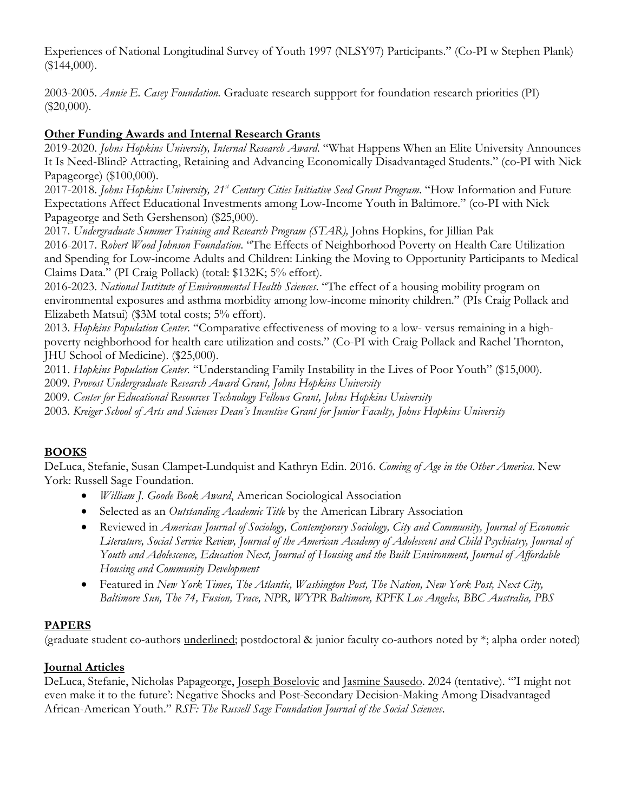Experiences of National Longitudinal Survey of Youth 1997 (NLSY97) Participants." (Co-PI w Stephen Plank) (\$144,000).

2003-2005. *Annie E. Casey Foundation.* Graduate research suppport for foundation research priorities (PI) (\$20,000).

### **Other Funding Awards and Internal Research Grants**

2019-2020. *Johns Hopkins University, Internal Research Award*. "What Happens When an Elite University Announces It Is Need-Blind? Attracting, Retaining and Advancing Economically Disadvantaged Students." (co-PI with Nick Papageorge) (\$100,000).

2017-2018. *Johns Hopkins University, 21st Century Cities Initiative Seed Grant Program*. "How Information and Future Expectations Affect Educational Investments among Low-Income Youth in Baltimore." (co-PI with Nick Papageorge and Seth Gershenson) (\$25,000).

2017. *Undergraduate Summer Training and Research Program (STAR),* Johns Hopkins, for Jillian Pak

2016-2017. *Robert Wood Johnson Foundation.* "The Effects of Neighborhood Poverty on Health Care Utilization and Spending for Low-income Adults and Children: Linking the Moving to Opportunity Participants to Medical Claims Data." (PI Craig Pollack) (total: \$132K; 5% effort).

2016-2023. *National Institute of Environmental Health Sciences*. "The effect of a housing mobility program on environmental exposures and asthma morbidity among low-income minority children." (PIs Craig Pollack and Elizabeth Matsui) (\$3M total costs; 5% effort).

2013. *Hopkins Population Center*. "Comparative effectiveness of moving to a low- versus remaining in a highpoverty neighborhood for health care utilization and costs." (Co-PI with Craig Pollack and Rachel Thornton, JHU School of Medicine). (\$25,000).

2011. *Hopkins Population Center.* "Understanding Family Instability in the Lives of Poor Youth" (\$15,000).

2009*. Provost Undergraduate Research Award Grant, Johns Hopkins University*

2009*. Center for Educational Resources Technology Fellows Grant, Johns Hopkins University*

2003*. Kreiger School of Arts and Sciences Dean's Incentive Grant for Junior Faculty, Johns Hopkins University*

## **BOOKS**

DeLuca, Stefanie, Susan Clampet-Lundquist and Kathryn Edin. 2016. *Coming of Age in the Other America*. New York: Russell Sage Foundation.

- *William J. Goode Book Award*, American Sociological Association
- Selected as an *Outstanding Academic Title* by the American Library Association
- Reviewed in *American Journal of Sociology, Contemporary Sociology, City and Community, Journal of Economic Literature, Social Service Review, Journal of the American Academy of Adolescent and Child Psychiatry, Journal of Youth and Adolescence, Education Next, Journal of Housing and the Built Environment, Journal of Affordable Housing and Community Development*
- Featured in *New York Times, The Atlantic, Washington Post, The Nation, New York Post, Next City, Baltimore Sun, The 74, Fusion, Trace, NPR, WYPR Baltimore, KPFK Los Angeles, BBC Australia, PBS*

## **PAPERS**

(graduate student co-authors underlined; postdoctoral & junior faculty co-authors noted by \*; alpha order noted)

## **Journal Articles**

DeLuca, Stefanie, Nicholas Papageorge, Joseph Boselovic and Jasmine Sausedo. 2024 (tentative). "'I might not even make it to the future': Negative Shocks and Post-Secondary Decision-Making Among Disadvantaged African-American Youth." *RSF: The Russell Sage Foundation Journal of the Social Sciences*.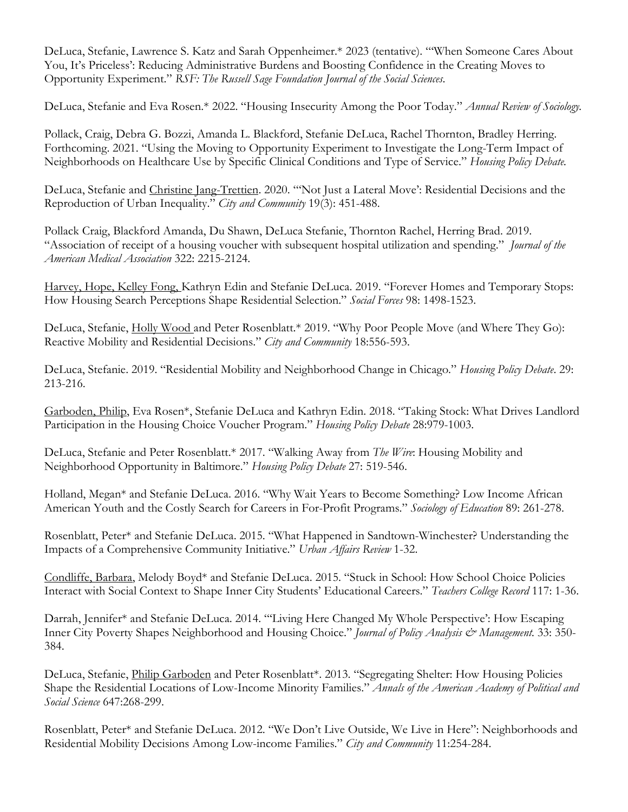DeLuca, Stefanie, Lawrence S. Katz and Sarah Oppenheimer.\* 2023 (tentative). "'When Someone Cares About You, It's Priceless': Reducing Administrative Burdens and Boosting Confidence in the Creating Moves to Opportunity Experiment." *RSF: The Russell Sage Foundation Journal of the Social Sciences*.

DeLuca, Stefanie and Eva Rosen.\* 2022. "Housing Insecurity Among the Poor Today." *Annual Review of Sociology.*

Pollack, Craig, Debra G. Bozzi, Amanda L. Blackford, Stefanie DeLuca, Rachel Thornton, Bradley Herring. Forthcoming. 2021. "Using the Moving to Opportunity Experiment to Investigate the Long-Term Impact of Neighborhoods on Healthcare Use by Specific Clinical Conditions and Type of Service." *Housing Policy Debate.* 

DeLuca, Stefanie and Christine Jang-Trettien. 2020. "'Not Just a Lateral Move': Residential Decisions and the Reproduction of Urban Inequality." *City and Community* 19(3): 451-488.

Pollack Craig, Blackford Amanda, Du Shawn, DeLuca Stefanie, Thornton Rachel, Herring Brad. 2019. "Association of receipt of a housing voucher with subsequent hospital utilization and spending." *Journal of the American Medical Association* 322: 2215-2124.

Harvey, Hope, Kelley Fong, Kathryn Edin and Stefanie DeLuca. 2019. "Forever Homes and Temporary Stops: How Housing Search Perceptions Shape Residential Selection." *Social Forces* 98: 1498-1523.

DeLuca, Stefanie, Holly Wood and Peter Rosenblatt.\* 2019. "Why Poor People Move (and Where They Go): Reactive Mobility and Residential Decisions." *City and Community* 18:556-593.

DeLuca, Stefanie. 2019. "Residential Mobility and Neighborhood Change in Chicago." *Housing Policy Debate*. 29: 213-216.

Garboden, Philip, Eva Rosen\*, Stefanie DeLuca and Kathryn Edin. 2018. "Taking Stock: What Drives Landlord Participation in the Housing Choice Voucher Program." *Housing Policy Debate* 28:979-1003.

DeLuca, Stefanie and Peter Rosenblatt.\* 2017. "Walking Away from *The Wire*: Housing Mobility and Neighborhood Opportunity in Baltimore." *Housing Policy Debate* 27: 519-546.

Holland, Megan\* and Stefanie DeLuca. 2016. "Why Wait Years to Become Something? Low Income African American Youth and the Costly Search for Careers in For-Profit Programs." *Sociology of Education* 89: 261-278.

Rosenblatt, Peter\* and Stefanie DeLuca. 2015. "What Happened in Sandtown-Winchester? Understanding the Impacts of a Comprehensive Community Initiative." *Urban Affairs Review* 1-32.

Condliffe, Barbara, Melody Boyd\* and Stefanie DeLuca. 2015. "Stuck in School: How School Choice Policies Interact with Social Context to Shape Inner City Students' Educational Careers." *Teachers College Record* 117: 1-36.

Darrah, Jennifer\* and Stefanie DeLuca. 2014. "'Living Here Changed My Whole Perspective': How Escaping Inner City Poverty Shapes Neighborhood and Housing Choice." *Journal of Policy Analysis & Management.* 33: 350- 384.

DeLuca, Stefanie, Philip Garboden and Peter Rosenblatt\*. 2013. "Segregating Shelter: How Housing Policies Shape the Residential Locations of Low-Income Minority Families." *Annals of the American Academy of Political and Social Science* 647:268-299.

Rosenblatt, Peter\* and Stefanie DeLuca. 2012. "We Don't Live Outside, We Live in Here": Neighborhoods and Residential Mobility Decisions Among Low-income Families." *City and Community* 11:254-284.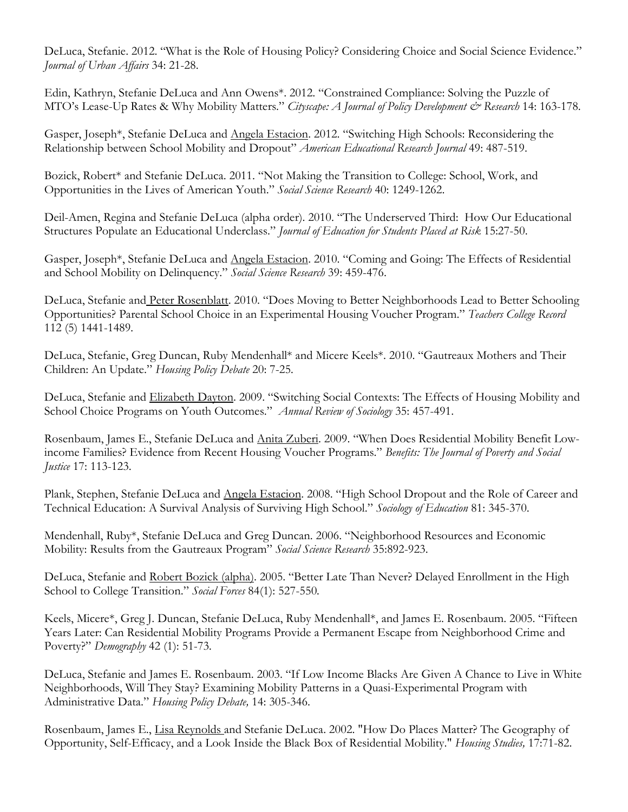DeLuca, Stefanie. 2012. "What is the Role of Housing Policy? Considering Choice and Social Science Evidence." *Journal of Urban Affairs* 34: 21-28.

Edin, Kathryn, Stefanie DeLuca and Ann Owens\*. 2012. "Constrained Compliance: Solving the Puzzle of MTO's Lease-Up Rates & Why Mobility Matters." *Cityscape: A Journal of Policy Development & Research* 14: 163-178.

Gasper, Joseph\*, Stefanie DeLuca and Angela Estacion. 2012. "Switching High Schools: Reconsidering the Relationship between School Mobility and Dropout" *American Educational Research Journal* 49: 487-519.

Bozick, Robert\* and Stefanie DeLuca. 2011. "Not Making the Transition to College: School, Work, and Opportunities in the Lives of American Youth." *Social Science Research* 40: 1249-1262.

Deil-Amen, Regina and Stefanie DeLuca (alpha order). 2010. "The Underserved Third: How Our Educational Structures Populate an Educational Underclass." *Journal of Education for Students Placed at Risk* 15:27-50.

Gasper, Joseph\*, Stefanie DeLuca and Angela Estacion. 2010. "Coming and Going: The Effects of Residential and School Mobility on Delinquency." *Social Science Research* 39: 459-476.

DeLuca, Stefanie and Peter Rosenblatt. 2010. "Does Moving to Better Neighborhoods Lead to Better Schooling Opportunities? Parental School Choice in an Experimental Housing Voucher Program." *Teachers College Record* 112 (5) 1441-1489*.*

DeLuca, Stefanie, Greg Duncan, Ruby Mendenhall\* and Micere Keels\*. 2010. "Gautreaux Mothers and Their Children: An Update." *Housing Policy Debate* 20: 7-25*.*

DeLuca, Stefanie and Elizabeth Dayton. 2009. "Switching Social Contexts: The Effects of Housing Mobility and School Choice Programs on Youth Outcomes." *Annual Review of Sociology* 35: 457-491.

Rosenbaum, James E., Stefanie DeLuca and Anita Zuberi. 2009. "When Does Residential Mobility Benefit Lowincome Families? Evidence from Recent Housing Voucher Programs." *Benefits: The Journal of Poverty and Social Justice* 17: 113-123.

Plank, Stephen, Stefanie DeLuca and Angela Estacion. 2008. "High School Dropout and the Role of Career and Technical Education: A Survival Analysis of Surviving High School." *Sociology of Education* 81: 345-370.

Mendenhall, Ruby\*, Stefanie DeLuca and Greg Duncan. 2006. "Neighborhood Resources and Economic Mobility: Results from the Gautreaux Program" *Social Science Research* 35:892-923.

DeLuca, Stefanie and Robert Bozick (alpha). 2005. "Better Late Than Never? Delayed Enrollment in the High School to College Transition." *Social Forces* 84(1): 527-550*.*

Keels, Micere\*, Greg J. Duncan, Stefanie DeLuca, Ruby Mendenhall\*, and James E. Rosenbaum. 2005. "Fifteen Years Later: Can Residential Mobility Programs Provide a Permanent Escape from Neighborhood Crime and Poverty?" *Demography* 42 (1): 51-73*.*

DeLuca, Stefanie and James E. Rosenbaum. 2003. "If Low Income Blacks Are Given A Chance to Live in White Neighborhoods, Will They Stay? Examining Mobility Patterns in a Quasi-Experimental Program with Administrative Data." *Housing Policy Debate,* 14: 305-346.

Rosenbaum, James E., Lisa Reynolds and Stefanie DeLuca. 2002. "How Do Places Matter? The Geography of Opportunity, Self-Efficacy, and a Look Inside the Black Box of Residential Mobility." *Housing Studies,* 17:71-82.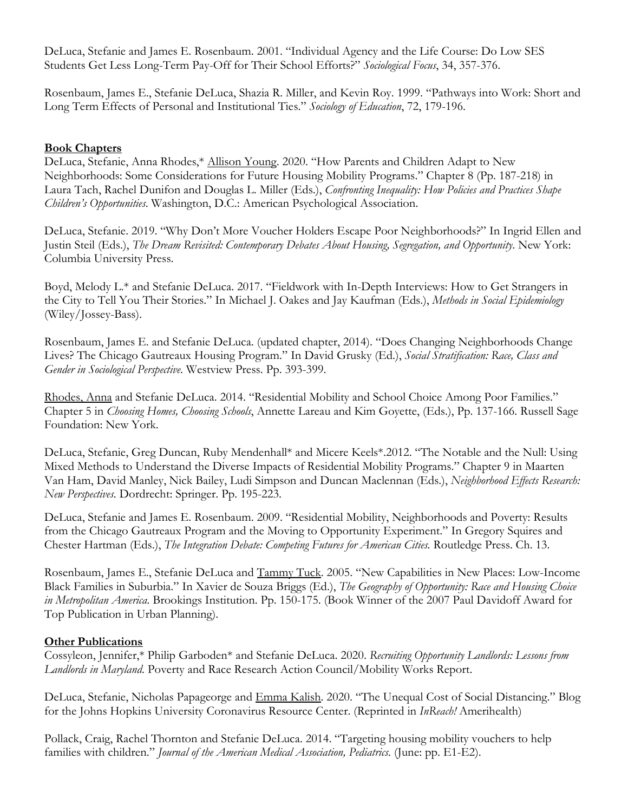DeLuca, Stefanie and James E. Rosenbaum. 2001. "Individual Agency and the Life Course: Do Low SES Students Get Less Long-Term Pay-Off for Their School Efforts?" *Sociological Focus*, 34, 357-376.

Rosenbaum, James E., Stefanie DeLuca, Shazia R. Miller, and Kevin Roy. 1999. "Pathways into Work: Short and Long Term Effects of Personal and Institutional Ties." *Sociology of Education*, 72, 179-196.

#### **Book Chapters**

DeLuca, Stefanie, Anna Rhodes,\* Allison Young. 2020. "How Parents and Children Adapt to New Neighborhoods: Some Considerations for Future Housing Mobility Programs." Chapter 8 (Pp. 187-218) in Laura Tach, Rachel Dunifon and Douglas L. Miller (Eds.), *Confronting Inequality: How Policies and Practices Shape Children's Opportunities*. Washington, D.C.: American Psychological Association.

DeLuca, Stefanie. 2019. "Why Don't More Voucher Holders Escape Poor Neighborhoods?" In Ingrid Ellen and Justin Steil (Eds.), *The Dream Revisited: Contemporary Debates About Housing, Segregation, and Opportunity*. New York: Columbia University Press.

Boyd, Melody L.\* and Stefanie DeLuca. 2017. "Fieldwork with In-Depth Interviews: How to Get Strangers in the City to Tell You Their Stories." In Michael J. Oakes and Jay Kaufman (Eds.), *Methods in Social Epidemiology* (Wiley/Jossey-Bass).

Rosenbaum, James E. and Stefanie DeLuca. (updated chapter, 2014). "Does Changing Neighborhoods Change Lives? The Chicago Gautreaux Housing Program." In David Grusky (Ed.), *Social Stratification: Race, Class and Gender in Sociological Perspective*. Westview Press. Pp. 393-399.

Rhodes, Anna and Stefanie DeLuca. 2014. "Residential Mobility and School Choice Among Poor Families." Chapter 5 in *Choosing Homes, Choosing Schools*, Annette Lareau and Kim Goyette, (Eds.), Pp. 137-166. Russell Sage Foundation: New York.

DeLuca, Stefanie, Greg Duncan, Ruby Mendenhall\* and Micere Keels\*.2012. "The Notable and the Null: Using Mixed Methods to Understand the Diverse Impacts of Residential Mobility Programs." Chapter 9 in Maarten Van Ham, David Manley, Nick Bailey, Ludi Simpson and Duncan Maclennan (Eds.), *Neighborhood Effects Research: New Perspectives.* Dordrecht: Springer. Pp. 195-223.

DeLuca, Stefanie and James E. Rosenbaum. 2009. "Residential Mobility, Neighborhoods and Poverty: Results from the Chicago Gautreaux Program and the Moving to Opportunity Experiment." In Gregory Squires and Chester Hartman (Eds.), *The Integration Debate: Competing Futures for American Cities.* Routledge Press. Ch. 13.

Rosenbaum, James E., Stefanie DeLuca and Tammy Tuck. 2005. "New Capabilities in New Places: Low-Income Black Families in Suburbia." In Xavier de Souza Briggs (Ed.), *The Geography of Opportunity: Race and Housing Choice in Metropolitan America.* Brookings Institution. Pp. 150-175. (Book Winner of the 2007 Paul Davidoff Award for Top Publication in Urban Planning).

#### **Other Publications**

Cossyleon, Jennifer,\* Philip Garboden\* and Stefanie DeLuca. 2020. *Recruiting Opportunity Landlords: Lessons from Landlords in Maryland.* Poverty and Race Research Action Council/Mobility Works Report.

DeLuca, Stefanie, Nicholas Papageorge and Emma Kalish. 2020. "The Unequal Cost of Social Distancing." Blog for the Johns Hopkins University Coronavirus Resource Center. (Reprinted in *InReach!* Amerihealth)

Pollack, Craig, Rachel Thornton and Stefanie DeLuca. 2014. "Targeting housing mobility vouchers to help families with children." *Journal of the American Medical Association, Pediatrics.* (June: pp. E1-E2).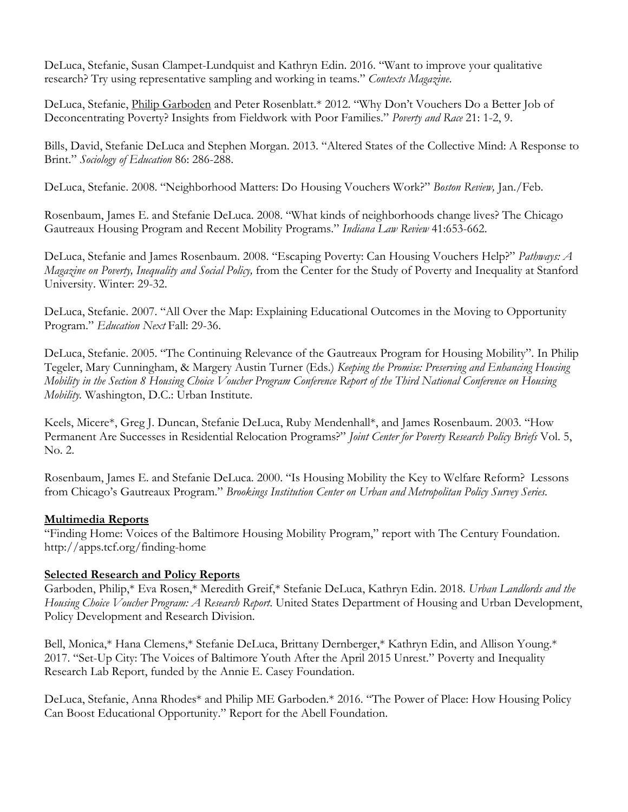DeLuca, Stefanie, Susan Clampet-Lundquist and Kathryn Edin. 2016. "Want to improve your qualitative research? Try using representative sampling and working in teams." *Contexts Magazine*.

DeLuca, Stefanie, Philip Garboden and Peter Rosenblatt.\* 2012. "Why Don't Vouchers Do a Better Job of Deconcentrating Poverty? Insights from Fieldwork with Poor Families." *Poverty and Race* 21: 1-2, 9.

Bills, David, Stefanie DeLuca and Stephen Morgan. 2013. "Altered States of the Collective Mind: A Response to Brint." *Sociology of Education* 86: 286-288.

DeLuca, Stefanie. 2008. "Neighborhood Matters: Do Housing Vouchers Work?" *Boston Review,* Jan./Feb.

Rosenbaum, James E. and Stefanie DeLuca. 2008. "What kinds of neighborhoods change lives? The Chicago Gautreaux Housing Program and Recent Mobility Programs." *Indiana Law Review* 41:653-662.

DeLuca, Stefanie and James Rosenbaum. 2008. "Escaping Poverty: Can Housing Vouchers Help?" *Pathways: A Magazine on Poverty, Inequality and Social Policy,* from the Center for the Study of Poverty and Inequality at Stanford University. Winter: 29-32.

DeLuca, Stefanie. 2007. "All Over the Map: Explaining Educational Outcomes in the Moving to Opportunity Program." *Education Next* Fall: 29-36.

DeLuca, Stefanie. 2005. "The Continuing Relevance of the Gautreaux Program for Housing Mobility". In Philip Tegeler, Mary Cunningham, & Margery Austin Turner (Eds.) *Keeping the Promise: Preserving and Enhancing Housing Mobility in the Section 8 Housing Choice Voucher Program Conference Report of the Third National Conference on Housing Mobility.* Washington, D.C.: Urban Institute.

Keels, Micere\*, Greg J. Duncan, Stefanie DeLuca, Ruby Mendenhall\*, and James Rosenbaum. 2003. "How Permanent Are Successes in Residential Relocation Programs?" *Joint Center for Poverty Research Policy Briefs* Vol. 5, No. 2.

Rosenbaum, James E. and Stefanie DeLuca. 2000. "Is Housing Mobility the Key to Welfare Reform? Lessons from Chicago's Gautreaux Program." *Brookings Institution Center on Urban and Metropolitan Policy Survey Series*.

### **Multimedia Reports**

"Finding Home: Voices of the Baltimore Housing Mobility Program," report with The Century Foundation. http://apps.tcf.org/finding-home

#### **Selected Research and Policy Reports**

Garboden, Philip,\* Eva Rosen,\* Meredith Greif,\* Stefanie DeLuca, Kathryn Edin. 2018. *Urban Landlords and the Housing Choice Voucher Program: A Research Report*. United States Department of Housing and Urban Development, Policy Development and Research Division.

Bell, Monica,\* Hana Clemens,\* Stefanie DeLuca, Brittany Dernberger,\* Kathryn Edin, and Allison Young.\* 2017. "Set-Up City: The Voices of Baltimore Youth After the April 2015 Unrest." Poverty and Inequality Research Lab Report, funded by the Annie E. Casey Foundation.

DeLuca, Stefanie, Anna Rhodes\* and Philip ME Garboden.\* 2016. "The Power of Place: How Housing Policy Can Boost Educational Opportunity." Report for the Abell Foundation.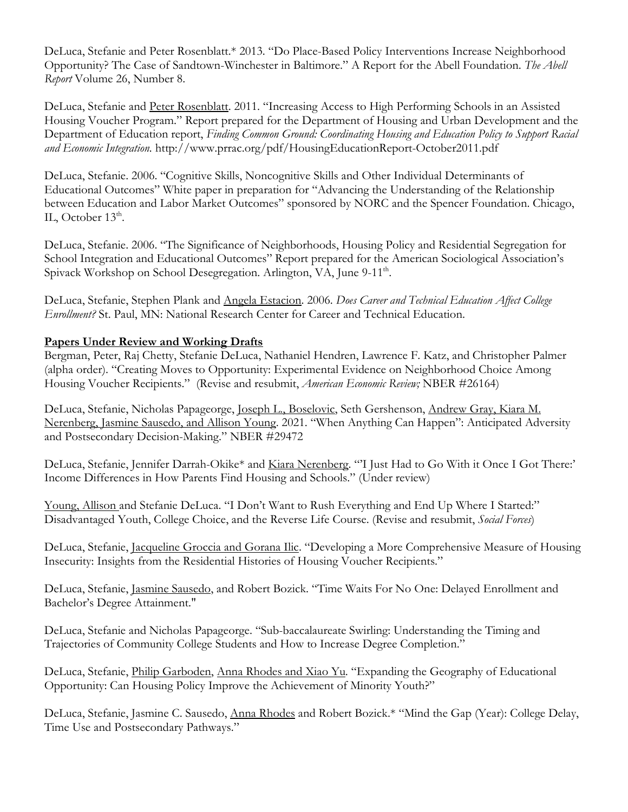DeLuca, Stefanie and Peter Rosenblatt.\* 2013. "Do Place-Based Policy Interventions Increase Neighborhood Opportunity? The Case of Sandtown-Winchester in Baltimore." A Report for the Abell Foundation. *The Abell Report* Volume 26, Number 8.

DeLuca, Stefanie and Peter Rosenblatt. 2011. "Increasing Access to High Performing Schools in an Assisted Housing Voucher Program." Report prepared for the Department of Housing and Urban Development and the Department of Education report, *Finding Common Ground: Coordinating Housing and Education Policy to Support Racial and Economic Integration.* http://www.prrac.org/pdf/HousingEducationReport-October2011.pdf

DeLuca, Stefanie. 2006. "Cognitive Skills, Noncognitive Skills and Other Individual Determinants of Educational Outcomes" White paper in preparation for "Advancing the Understanding of the Relationship between Education and Labor Market Outcomes" sponsored by NORC and the Spencer Foundation. Chicago, IL, October  $13<sup>th</sup>$ .

DeLuca, Stefanie. 2006. "The Significance of Neighborhoods, Housing Policy and Residential Segregation for School Integration and Educational Outcomes" Report prepared for the American Sociological Association's Spivack Workshop on School Desegregation. Arlington, VA, June 9-11<sup>th</sup>.

DeLuca, Stefanie, Stephen Plank and Angela Estacion. 2006. *Does Career and Technical Education Affect College Enrollment?* St. Paul, MN: National Research Center for Career and Technical Education.

### **Papers Under Review and Working Drafts**

Bergman, Peter, Raj Chetty, Stefanie DeLuca, Nathaniel Hendren, Lawrence F. Katz, and Christopher Palmer (alpha order). "Creating Moves to Opportunity: Experimental Evidence on Neighborhood Choice Among Housing Voucher Recipients." (Revise and resubmit, *American Economic Review;* NBER #26164)

DeLuca, Stefanie, Nicholas Papageorge, Joseph L., Boselovic, Seth Gershenson, Andrew Gray, Kiara M. Nerenberg, Jasmine Sausedo, and Allison Young. 2021. "When Anything Can Happen": Anticipated Adversity and Postsecondary Decision-Making." NBER #29472

DeLuca, Stefanie, Jennifer Darrah-Okike\* and Kiara Nerenberg. "'I Just Had to Go With it Once I Got There:' Income Differences in How Parents Find Housing and Schools." (Under review)

Young, Allison and Stefanie DeLuca. "I Don't Want to Rush Everything and End Up Where I Started:" Disadvantaged Youth, College Choice, and the Reverse Life Course. (Revise and resubmit, *Social Forces*)

DeLuca, Stefanie, Jacqueline Groccia and Gorana Ilic. "Developing a More Comprehensive Measure of Housing Insecurity: Insights from the Residential Histories of Housing Voucher Recipients."

DeLuca, Stefanie, Jasmine Sausedo, and Robert Bozick. "Time Waits For No One: Delayed Enrollment and Bachelor's Degree Attainment."

DeLuca, Stefanie and Nicholas Papageorge. "Sub-baccalaureate Swirling: Understanding the Timing and Trajectories of Community College Students and How to Increase Degree Completion."

DeLuca, Stefanie, Philip Garboden, Anna Rhodes and Xiao Yu. "Expanding the Geography of Educational Opportunity: Can Housing Policy Improve the Achievement of Minority Youth?"

DeLuca, Stefanie, Jasmine C. Sausedo, Anna Rhodes and Robert Bozick.\* "Mind the Gap (Year): College Delay, Time Use and Postsecondary Pathways."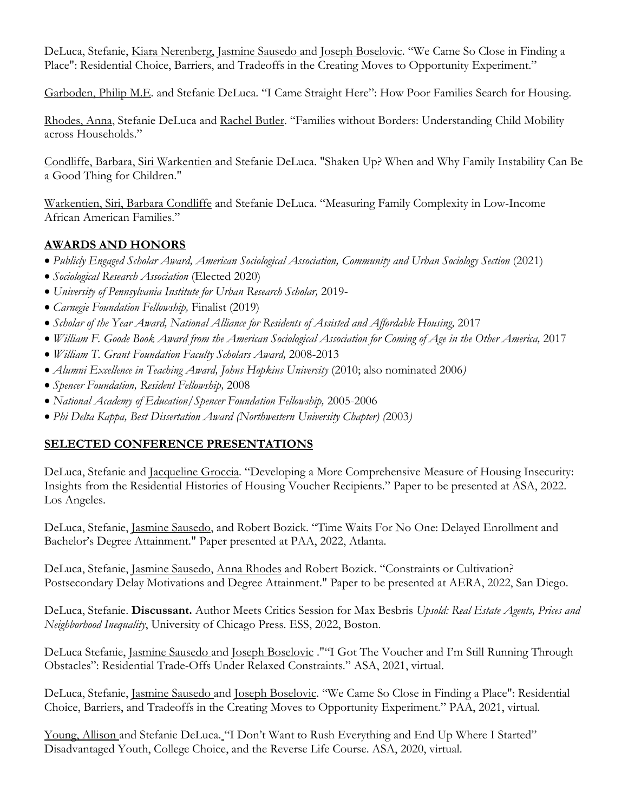DeLuca, Stefanie, Kiara Nerenberg, Jasmine Sausedo and Joseph Boselovic. "We Came So Close in Finding a Place": Residential Choice, Barriers, and Tradeoffs in the Creating Moves to Opportunity Experiment."

Garboden, Philip M.E. and Stefanie DeLuca. "I Came Straight Here": How Poor Families Search for Housing.

Rhodes, Anna, Stefanie DeLuca and Rachel Butler. "Families without Borders: Understanding Child Mobility across Households."

Condliffe, Barbara, Siri Warkentien and Stefanie DeLuca. "Shaken Up? When and Why Family Instability Can Be a Good Thing for Children."

Warkentien, Siri, Barbara Condliffe and Stefanie DeLuca. "Measuring Family Complexity in Low-Income African American Families."

## **AWARDS AND HONORS**

- *Publicly Engaged Scholar Award, American Sociological Association, Community and Urban Sociology Section* (2021)
- *Sociological Research Association* (Elected 2020)
- *University of Pennsylvania Institute for Urban Research Scholar,* 2019-
- *Carnegie Foundation Fellowship,* Finalist (2019)
- *Scholar of the Year Award, National Alliance for Residents of Assisted and Affordable Housing,* 2017
- *William F. Goode Book Award from the American Sociological Association for Coming of Age in the Other America,* 2017
- *William T. Grant Foundation Faculty Scholars Award,* 2008-2013
- *Alumni Excellence in Teaching Award, Johns Hopkins University* (2010; also nominated 2006*)*
- *Spencer Foundation, Resident Fellowship,* 2008
- *National Academy of Education/Spencer Foundation Fellowship,* 2005-2006
- *Phi Delta Kappa, Best Dissertation Award (Northwestern University Chapter) (*2003*)*

## **SELECTED CONFERENCE PRESENTATIONS**

DeLuca, Stefanie and Jacqueline Groccia. "Developing a More Comprehensive Measure of Housing Insecurity: Insights from the Residential Histories of Housing Voucher Recipients." Paper to be presented at ASA, 2022. Los Angeles.

DeLuca, Stefanie, Jasmine Sausedo, and Robert Bozick. "Time Waits For No One: Delayed Enrollment and Bachelor's Degree Attainment." Paper presented at PAA, 2022, Atlanta.

DeLuca, Stefanie, Jasmine Sausedo, Anna Rhodes and Robert Bozick. "Constraints or Cultivation? Postsecondary Delay Motivations and Degree Attainment." Paper to be presented at AERA, 2022, San Diego.

DeLuca, Stefanie. **Discussant.** Author Meets Critics Session for Max Besbris *Upsold: Real Estate Agents, Prices and Neighborhood Inequality*, University of Chicago Press. ESS, 2022, Boston.

DeLuca Stefanie, Jasmine Sausedo and Joseph Boselovic .""I Got The Voucher and I'm Still Running Through Obstacles": Residential Trade-Offs Under Relaxed Constraints." ASA, 2021, virtual.

DeLuca, Stefanie, Jasmine Sausedo and Joseph Boselovic. "We Came So Close in Finding a Place": Residential Choice, Barriers, and Tradeoffs in the Creating Moves to Opportunity Experiment." PAA, 2021, virtual.

Young, Allison and Stefanie DeLuca. "I Don't Want to Rush Everything and End Up Where I Started" Disadvantaged Youth, College Choice, and the Reverse Life Course. ASA, 2020, virtual.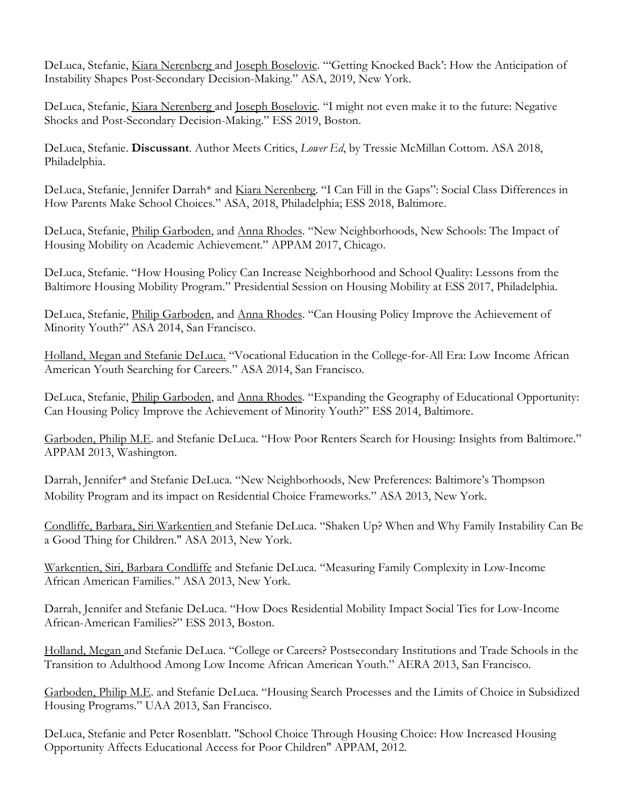DeLuca, Stefanie, Kiara Nerenberg and Joseph Boselovic. "'Getting Knocked Back': How the Anticipation of Instability Shapes Post-Secondary Decision-Making." ASA, 2019, New York.

DeLuca, Stefanie, Kiara Nerenberg and Joseph Boselovic. "I might not even make it to the future: Negative Shocks and Post-Secondary Decision-Making." ESS 2019, Boston.

DeLuca, Stefanie. **Discussant**. Author Meets Critics, *Lower Ed*, by Tressie McMillan Cottom. ASA 2018, Philadelphia.

DeLuca, Stefanie, Jennifer Darrah\* and Kiara Nerenberg. "I Can Fill in the Gaps": Social Class Differences in How Parents Make School Choices." ASA, 2018, Philadelphia; ESS 2018, Baltimore.

DeLuca, Stefanie, Philip Garboden, and Anna Rhodes. "New Neighborhoods, New Schools: The Impact of Housing Mobility on Academic Achievement." APPAM 2017, Chicago.

DeLuca, Stefanie. "How Housing Policy Can Increase Neighborhood and School Quality: Lessons from the Baltimore Housing Mobility Program." Presidential Session on Housing Mobility at ESS 2017, Philadelphia.

DeLuca, Stefanie, Philip Garboden, and Anna Rhodes. "Can Housing Policy Improve the Achievement of Minority Youth?" ASA 2014, San Francisco.

Holland, Megan and Stefanie DeLuca. "Vocational Education in the College-for-All Era: Low Income African American Youth Searching for Careers." ASA 2014, San Francisco.

DeLuca, Stefanie, Philip Garboden, and Anna Rhodes. "Expanding the Geography of Educational Opportunity: Can Housing Policy Improve the Achievement of Minority Youth?" ESS 2014, Baltimore.

Garboden, Philip M.E. and Stefanie DeLuca. "How Poor Renters Search for Housing: Insights from Baltimore." APPAM 2013, Washington.

Darrah, Jennifer\* and Stefanie DeLuca. "New Neighborhoods, New Preferences: Baltimore's Thompson Mobility Program and its impact on Residential Choice Frameworks." ASA 2013, New York.

Condliffe, Barbara, Siri Warkentien and Stefanie DeLuca. "Shaken Up? When and Why Family Instability Can Be a Good Thing for Children." ASA 2013, New York.

Warkentien, Siri, Barbara Condliffe and Stefanie DeLuca. "Measuring Family Complexity in Low-Income African American Families." ASA 2013, New York.

Darrah, Jennifer and Stefanie DeLuca. "How Does Residential Mobility Impact Social Ties for Low-Income African-American Families?" ESS 2013, Boston.

Holland, Megan and Stefanie DeLuca. "College or Careers? Postsecondary Institutions and Trade Schools in the Transition to Adulthood Among Low Income African American Youth." AERA 2013, San Francisco.

Garboden, Philip M.E. and Stefanie DeLuca. "Housing Search Processes and the Limits of Choice in Subsidized Housing Programs." UAA 2013, San Francisco.

DeLuca, Stefanie and Peter Rosenblatt. "School Choice Through Housing Choice: How Increased Housing Opportunity Affects Educational Access for Poor Children" APPAM, 2012.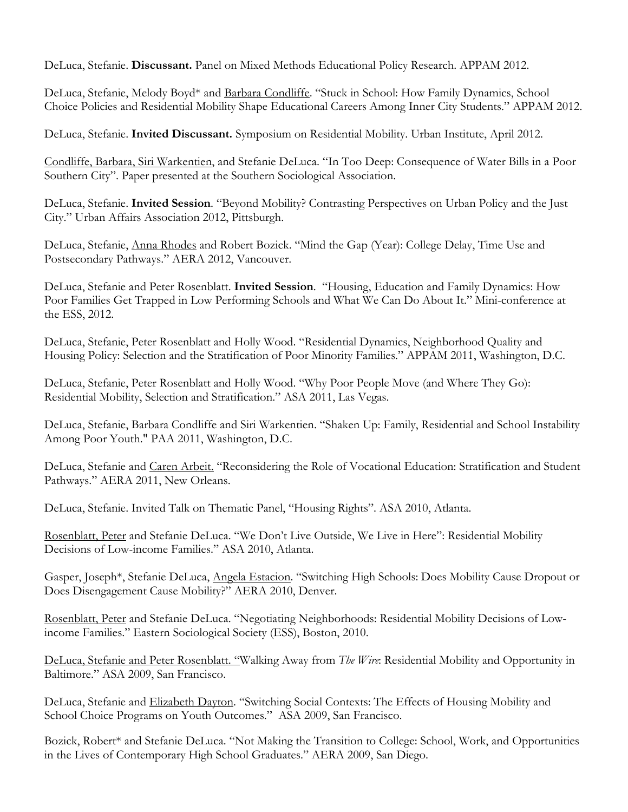DeLuca, Stefanie. **Discussant.** Panel on Mixed Methods Educational Policy Research. APPAM 2012.

DeLuca, Stefanie, Melody Boyd\* and Barbara Condliffe. "Stuck in School: How Family Dynamics, School Choice Policies and Residential Mobility Shape Educational Careers Among Inner City Students." APPAM 2012.

DeLuca, Stefanie. **Invited Discussant.** Symposium on Residential Mobility. Urban Institute, April 2012.

Condliffe, Barbara, Siri Warkentien, and Stefanie DeLuca. "In Too Deep: Consequence of Water Bills in a Poor Southern City". Paper presented at the Southern Sociological Association.

DeLuca, Stefanie. **Invited Session**. "Beyond Mobility? Contrasting Perspectives on Urban Policy and the Just City." Urban Affairs Association 2012, Pittsburgh.

DeLuca, Stefanie, Anna Rhodes and Robert Bozick. "Mind the Gap (Year): College Delay, Time Use and Postsecondary Pathways." AERA 2012, Vancouver.

DeLuca, Stefanie and Peter Rosenblatt. **Invited Session**. "Housing, Education and Family Dynamics: How Poor Families Get Trapped in Low Performing Schools and What We Can Do About It." Mini-conference at the ESS, 2012.

DeLuca, Stefanie, Peter Rosenblatt and Holly Wood. "Residential Dynamics, Neighborhood Quality and Housing Policy: Selection and the Stratification of Poor Minority Families." APPAM 2011, Washington, D.C.

DeLuca, Stefanie, Peter Rosenblatt and Holly Wood. "Why Poor People Move (and Where They Go): Residential Mobility, Selection and Stratification." ASA 2011, Las Vegas.

DeLuca, Stefanie, Barbara Condliffe and Siri Warkentien. "Shaken Up: Family, Residential and School Instability Among Poor Youth." PAA 2011, Washington, D.C.

DeLuca, Stefanie and Caren Arbeit. "Reconsidering the Role of Vocational Education: Stratification and Student Pathways." AERA 2011, New Orleans.

DeLuca, Stefanie. Invited Talk on Thematic Panel, "Housing Rights". ASA 2010, Atlanta.

Rosenblatt, Peter and Stefanie DeLuca. "We Don't Live Outside, We Live in Here": Residential Mobility Decisions of Low-income Families." ASA 2010, Atlanta.

Gasper, Joseph\*, Stefanie DeLuca, Angela Estacion. "Switching High Schools: Does Mobility Cause Dropout or Does Disengagement Cause Mobility?" AERA 2010, Denver.

Rosenblatt, Peter and Stefanie DeLuca. "Negotiating Neighborhoods: Residential Mobility Decisions of Lowincome Families." Eastern Sociological Society (ESS), Boston, 2010.

DeLuca, Stefanie and Peter Rosenblatt. "Walking Away from *The Wire*: Residential Mobility and Opportunity in Baltimore." ASA 2009, San Francisco.

DeLuca, Stefanie and Elizabeth Dayton. "Switching Social Contexts: The Effects of Housing Mobility and School Choice Programs on Youth Outcomes." ASA 2009, San Francisco.

Bozick, Robert\* and Stefanie DeLuca. "Not Making the Transition to College: School, Work, and Opportunities in the Lives of Contemporary High School Graduates." AERA 2009, San Diego.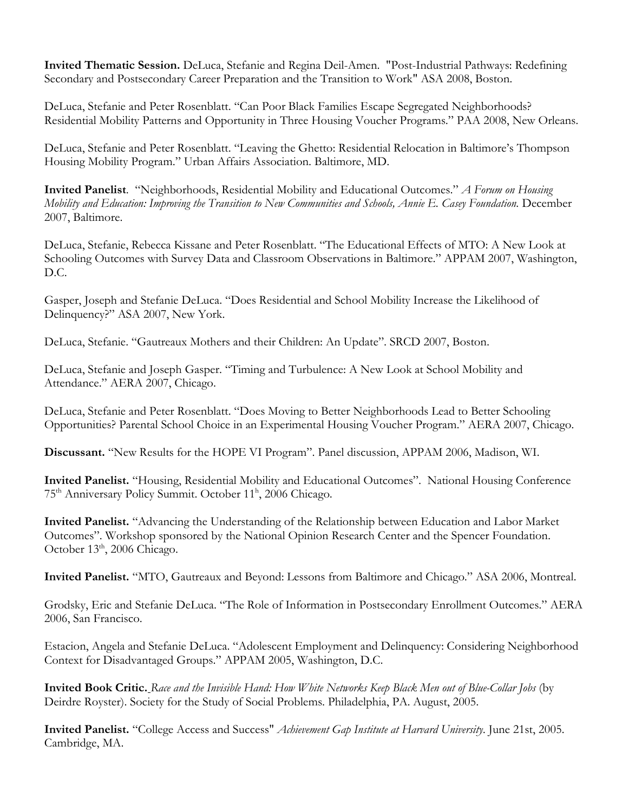**Invited Thematic Session.** DeLuca, Stefanie and Regina Deil-Amen. "Post-Industrial Pathways: Redefining Secondary and Postsecondary Career Preparation and the Transition to Work" ASA 2008, Boston.

DeLuca, Stefanie and Peter Rosenblatt. "Can Poor Black Families Escape Segregated Neighborhoods? Residential Mobility Patterns and Opportunity in Three Housing Voucher Programs." PAA 2008, New Orleans.

DeLuca, Stefanie and Peter Rosenblatt. "Leaving the Ghetto: Residential Relocation in Baltimore's Thompson Housing Mobility Program." Urban Affairs Association. Baltimore, MD.

**Invited Panelist**. "Neighborhoods, Residential Mobility and Educational Outcomes." *A Forum on Housing Mobility and Education: Improving the Transition to New Communities and Schools, Annie E. Casey Foundation.* December 2007, Baltimore.

DeLuca, Stefanie, Rebecca Kissane and Peter Rosenblatt. ["The Educational Effects of MTO: A New Look at](http://www.appam.org/conferences/fall/dc2007/notifications/paper_abstract.asp?pid=1069.2)  [Schooling Outcomes with Survey Data and Classroom Observations in Baltimore.](http://www.appam.org/conferences/fall/dc2007/notifications/paper_abstract.asp?pid=1069.2)" APPAM 2007, Washington, D.C.

Gasper, Joseph and Stefanie DeLuca. "Does Residential and School Mobility Increase the Likelihood of Delinquency?" ASA 2007, New York.

DeLuca, Stefanie. "Gautreaux Mothers and their Children: An Update". SRCD 2007, Boston.

DeLuca, Stefanie and Joseph Gasper. "Timing and Turbulence: A New Look at School Mobility and Attendance." AERA 2007, Chicago.

DeLuca, Stefanie and Peter Rosenblatt. "Does Moving to Better Neighborhoods Lead to Better Schooling Opportunities? Parental School Choice in an Experimental Housing Voucher Program." AERA 2007, Chicago.

**Discussant.** "New Results for the HOPE VI Program". Panel discussion, APPAM 2006, Madison, WI.

**Invited Panelist.** "Housing, Residential Mobility and Educational Outcomes". National Housing Conference 75<sup>th</sup> Anniversary Policy Summit. October 11<sup>h</sup>, 2006 Chicago.

**Invited Panelist.** "Advancing the Understanding of the Relationship between Education and Labor Market Outcomes". Workshop sponsored by the National Opinion Research Center and the Spencer Foundation. October 13<sup>th</sup>, 2006 Chicago.

**Invited Panelist.** "MTO, Gautreaux and Beyond: Lessons from Baltimore and Chicago." ASA 2006, Montreal.

Grodsky, Eric and Stefanie DeLuca. "The Role of Information in Postsecondary Enrollment Outcomes." AERA 2006, San Francisco.

Estacion, Angela and Stefanie DeLuca. "Adolescent Employment and Delinquency: Considering Neighborhood Context for Disadvantaged Groups." APPAM 2005, Washington, D.C.

**Invited Book Critic.** *Race and the Invisible Hand: How White Networks Keep Black Men out of Blue-Collar Jobs* (by Deirdre Royster). Society for the Study of Social Problems. Philadelphia, PA. August, 2005.

**Invited Panelist.** "College Access and Success" *Achievement Gap Institute at Harvard University*. June 21st, 2005. Cambridge, MA.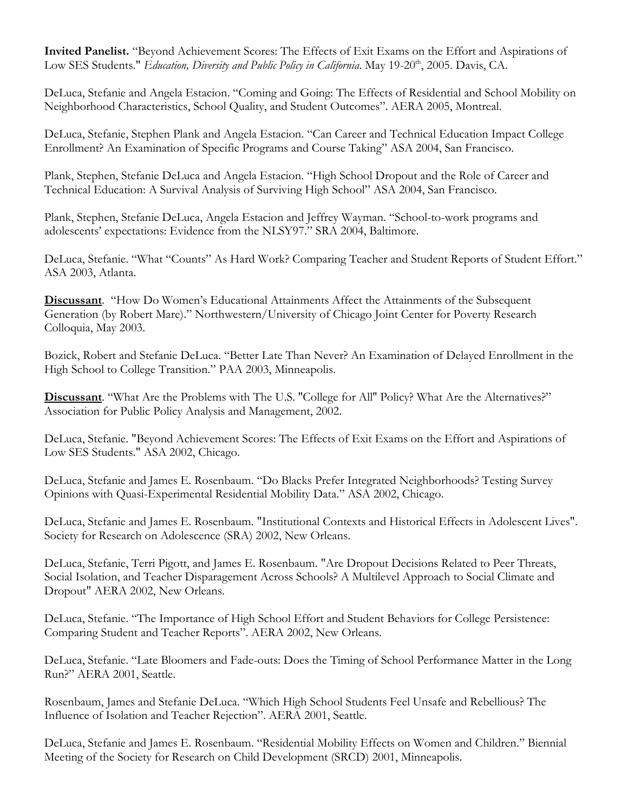**Invited Panelist.** "Beyond Achievement Scores: The Effects of Exit Exams on the Effort and Aspirations of Low SES Students." *Education, Diversity and Public Policy in California*. May 19-20<sup>th</sup>, 2005. Davis, CA.

DeLuca, Stefanie and Angela Estacion. "Coming and Going: The Effects of Residential and School Mobility on Neighborhood Characteristics, School Quality, and Student Outcomes". AERA 2005, Montreal.

DeLuca, Stefanie, Stephen Plank and Angela Estacion. "Can Career and Technical Education Impact College Enrollment? An Examination of Specific Programs and Course Taking" ASA 2004, San Francisco.

Plank, Stephen, Stefanie DeLuca and Angela Estacion. "High School Dropout and the Role of Career and Technical Education: A Survival Analysis of Surviving High School" ASA 2004, San Francisco.

Plank, Stephen, Stefanie DeLuca, Angela Estacion and Jeffrey Wayman. "School-to-work programs and adolescents' expectations: Evidence from the NLSY97." SRA 2004, Baltimore.

DeLuca, Stefanie. "What "Counts" As Hard Work? Comparing Teacher and Student Reports of Student Effort." ASA 2003, Atlanta.

**Discussant**. "How Do Women's Educational Attainments Affect the Attainments of the Subsequent Generation (by Robert Mare)." Northwestern/University of Chicago Joint Center for Poverty Research Colloquia, May 2003.

Bozick, Robert and Stefanie DeLuca. "Better Late Than Never? An Examination of Delayed Enrollment in the High School to College Transition." PAA 2003, Minneapolis.

**Discussant**. "What Are the Problems with The U.S. ''College for All'' Policy? What Are the Alternatives?" Association for Public Policy Analysis and Management, 2002.

DeLuca, Stefanie. "Beyond Achievement Scores: The Effects of Exit Exams on the Effort and Aspirations of Low SES Students." ASA 2002, Chicago.

DeLuca, Stefanie and James E. Rosenbaum. "Do Blacks Prefer Integrated Neighborhoods? Testing Survey Opinions with Quasi-Experimental Residential Mobility Data." ASA 2002, Chicago.

DeLuca, Stefanie and James E. Rosenbaum. "Institutional Contexts and Historical Effects in Adolescent Lives". Society for Research on Adolescence (SRA) 2002, New Orleans.

DeLuca, Stefanie, Terri Pigott, and James E. Rosenbaum. "Are Dropout Decisions Related to Peer Threats, Social Isolation, and Teacher Disparagement Across Schools? A Multilevel Approach to Social Climate and Dropout" AERA 2002, New Orleans.

DeLuca, Stefanie. "The Importance of High School Effort and Student Behaviors for College Persistence: Comparing Student and Teacher Reports". AERA 2002, New Orleans.

DeLuca, Stefanie. "Late Bloomers and Fade-outs: Does the Timing of School Performance Matter in the Long Run?" AERA 2001, Seattle.

Rosenbaum, James and Stefanie DeLuca. "Which High School Students Feel Unsafe and Rebellious? The Influence of Isolation and Teacher Rejection". AERA 2001, Seattle.

DeLuca, Stefanie and James E. Rosenbaum. "Residential Mobility Effects on Women and Children." Biennial Meeting of the Society for Research on Child Development (SRCD) 2001, Minneapolis.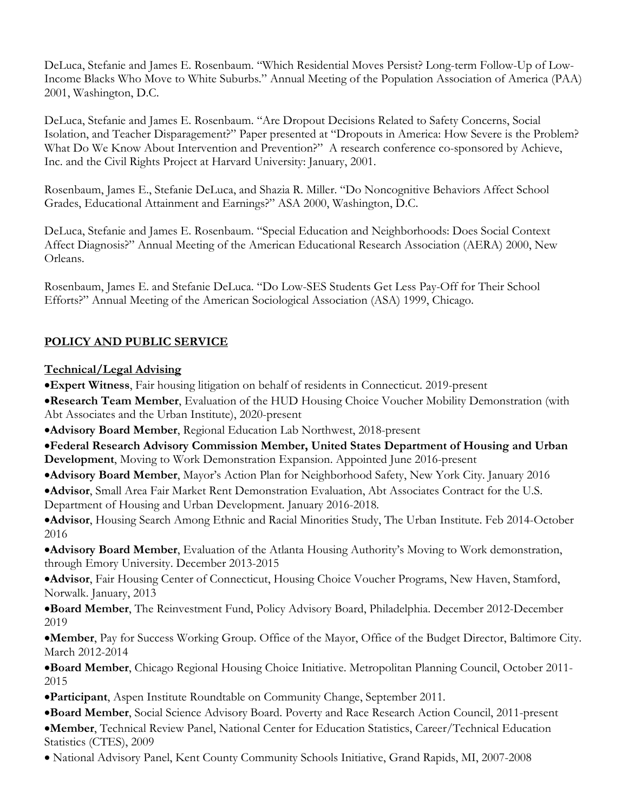DeLuca, Stefanie and James E. Rosenbaum. "Which Residential Moves Persist? Long-term Follow-Up of Low-Income Blacks Who Move to White Suburbs." Annual Meeting of the Population Association of America (PAA) 2001, Washington, D.C.

DeLuca, Stefanie and James E. Rosenbaum. "Are Dropout Decisions Related to Safety Concerns, Social Isolation, and Teacher Disparagement?" Paper presented at "Dropouts in America: How Severe is the Problem? What Do We Know About Intervention and Prevention?" A research conference co-sponsored by Achieve, Inc. and the Civil Rights Project at Harvard University: January, 2001.

Rosenbaum, James E., Stefanie DeLuca, and Shazia R. Miller. "Do Noncognitive Behaviors Affect School Grades, Educational Attainment and Earnings?" ASA 2000, Washington, D.C.

DeLuca, Stefanie and James E. Rosenbaum. "Special Education and Neighborhoods: Does Social Context Affect Diagnosis?" Annual Meeting of the American Educational Research Association (AERA) 2000, New Orleans.

Rosenbaum, James E. and Stefanie DeLuca. "Do Low-SES Students Get Less Pay-Off for Their School Efforts?" Annual Meeting of the American Sociological Association (ASA) 1999, Chicago.

# **POLICY AND PUBLIC SERVICE**

## **Technical/Legal Advising**

•**Expert Witness**, Fair housing litigation on behalf of residents in Connecticut. 2019-present

•**Research Team Member**, Evaluation of the HUD Housing Choice Voucher Mobility Demonstration (with Abt Associates and the Urban Institute), 2020-present

•**Advisory Board Member**, Regional Education Lab Northwest, 2018-present

•**Federal Research Advisory Commission Member, United States Department of Housing and Urban Development**, Moving to Work Demonstration Expansion. Appointed June 2016-present

•**Advisory Board Member**, Mayor's Action Plan for Neighborhood Safety, New York City. January 2016

•**Advisor**, Small Area Fair Market Rent Demonstration Evaluation, Abt Associates Contract for the U.S. Department of Housing and Urban Development. January 2016-2018.

•**Advisor**, Housing Search Among Ethnic and Racial Minorities Study, The Urban Institute. Feb 2014-October 2016

•**Advisory Board Member**, Evaluation of the Atlanta Housing Authority's Moving to Work demonstration, through Emory University. December 2013-2015

•**Advisor**, Fair Housing Center of Connecticut, Housing Choice Voucher Programs, New Haven, Stamford, Norwalk. January, 2013

•**Board Member**, The Reinvestment Fund, Policy Advisory Board, Philadelphia. December 2012-December 2019

•**Member**, Pay for Success Working Group. Office of the Mayor, Office of the Budget Director, Baltimore City. March 2012-2014

•**Board Member**, Chicago Regional Housing Choice Initiative. Metropolitan Planning Council, October 2011- 2015

•**Participant**, Aspen Institute Roundtable on Community Change, September 2011.

•**Board Member**, Social Science Advisory Board. Poverty and Race Research Action Council, 2011-present •**Member**, Technical Review Panel, National Center for Education Statistics, Career/Technical Education Statistics (CTES), 2009

• National Advisory Panel, Kent County Community Schools Initiative, Grand Rapids, MI, 2007-2008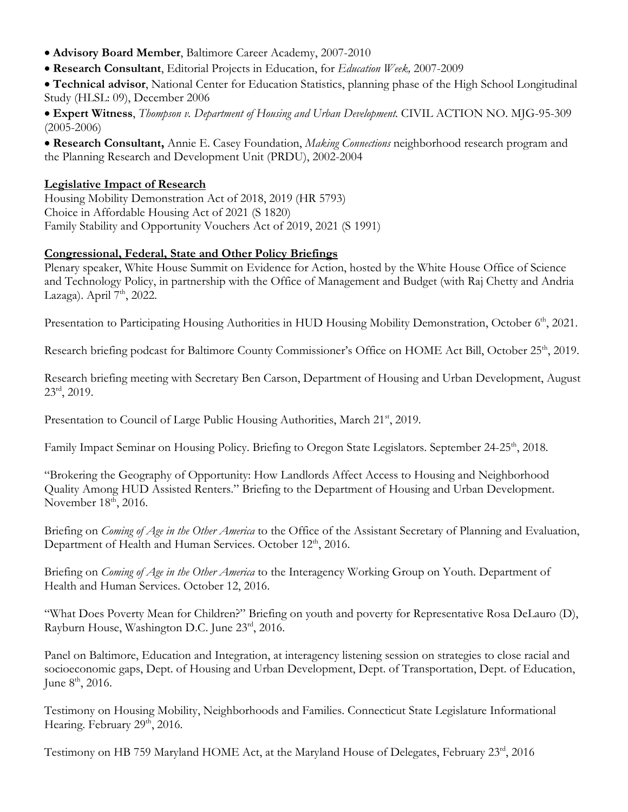- **Advisory Board Member**, Baltimore Career Academy, 2007-2010
- **Research Consultant**, Editorial Projects in Education, for *Education Week,* 2007-2009
- **Technical advisor**, National Center for Education Statistics, planning phase of the High School Longitudinal Study (HLSL: 09), December 2006

• **Expert Witness**, *Thompson v. Department of Housing and Urban Development.* CIVIL ACTION NO. MJG-95-309  $(2005 - 2006)$ 

• **Research Consultant,** Annie E. Casey Foundation, *Making Connections* neighborhood research program and the Planning Research and Development Unit (PRDU), 2002-2004

#### **Legislative Impact of Research**

Housing Mobility Demonstration Act of 2018, 2019 (HR 5793) Choice in Affordable Housing Act of 2021 (S 1820) Family Stability and Opportunity Vouchers Act of 2019, 2021 (S 1991)

### **Congressional, Federal, State and Other Policy Briefings**

Plenary speaker, White House Summit on Evidence for Action, hosted by the White House Office of Science and Technology Policy, in partnership with the Office of Management and Budget (with Raj Chetty and Andria Lazaga). April  $7<sup>th</sup>$ , 2022.

Presentation to Participating Housing Authorities in HUD Housing Mobility Demonstration, October 6<sup>th</sup>, 2021.

Research briefing podcast for Baltimore County Commissioner's Office on HOME Act Bill, October 25<sup>th</sup>, 2019.

Research briefing meeting with Secretary Ben Carson, Department of Housing and Urban Development, August  $23<sup>rd</sup>$ , 2019.

Presentation to Council of Large Public Housing Authorities, March 21<sup>st</sup>, 2019.

Family Impact Seminar on Housing Policy. Briefing to Oregon State Legislators. September 24-25<sup>th</sup>, 2018.

"Brokering the Geography of Opportunity: How Landlords Affect Access to Housing and Neighborhood Quality Among HUD Assisted Renters." Briefing to the Department of Housing and Urban Development. November  $18<sup>th</sup>$ , 2016.

Briefing on *Coming of Age in the Other America* to the Office of the Assistant Secretary of Planning and Evaluation, Department of Health and Human Services. October 12<sup>th</sup>, 2016.

Briefing on *Coming of Age in the Other America* to the Interagency Working Group on Youth. Department of Health and Human Services. October 12, 2016.

"What Does Poverty Mean for Children?" Briefing on youth and poverty for Representative Rosa DeLauro (D), Rayburn House, Washington D.C. June 23rd, 2016.

Panel on Baltimore, Education and Integration, at interagency listening session on strategies to close racial and socioeconomic gaps, Dept. of Housing and Urban Development, Dept. of Transportation, Dept. of Education, June  $8^{\text{th}}$ , 2016.

Testimony on Housing Mobility, Neighborhoods and Families. Connecticut State Legislature Informational Hearing. February 29<sup>th</sup>, 2016.

Testimony on HB 759 Maryland HOME Act, at the Maryland House of Delegates, February 23rd, 2016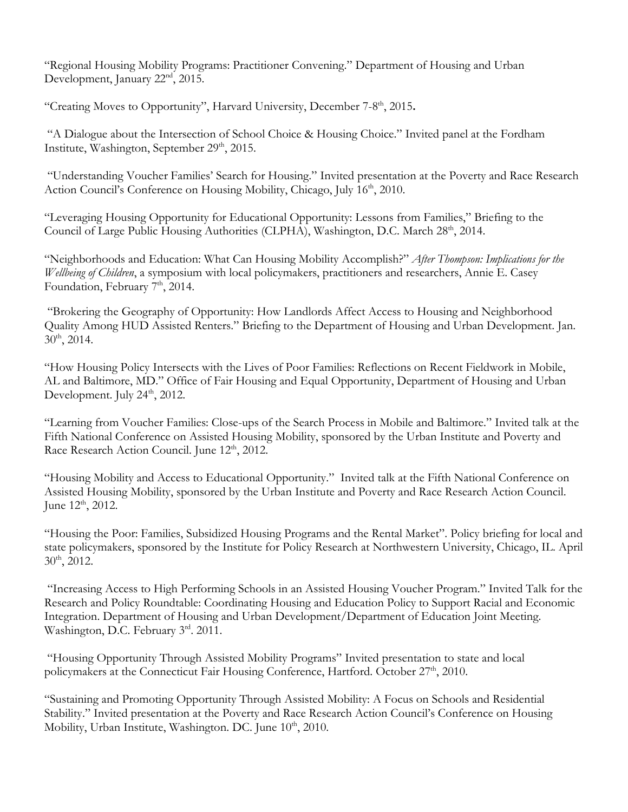"Regional Housing Mobility Programs: Practitioner Convening." Department of Housing and Urban Development, January 22<sup>nd</sup>, 2015.

"Creating Moves to Opportunity", Harvard University, December 7-8<sup>th</sup>, 2015.

"A Dialogue about the Intersection of School Choice & Housing Choice." Invited panel at the Fordham Institute, Washington, September 29<sup>th</sup>, 2015.

"Understanding Voucher Families' Search for Housing." Invited presentation at the Poverty and Race Research Action Council's Conference on Housing Mobility, Chicago, July 16<sup>th</sup>, 2010.

"Leveraging Housing Opportunity for Educational Opportunity: Lessons from Families," Briefing to the Council of Large Public Housing Authorities (CLPHA), Washington, D.C. March 28<sup>th</sup>, 2014.

"Neighborhoods and Education: What Can Housing Mobility Accomplish?" *After Thompson: Implications for the Wellbeing of Children*, a symposium with local policymakers, practitioners and researchers, Annie E. Casey Foundation, February 7<sup>th</sup>, 2014.

"Brokering the Geography of Opportunity: How Landlords Affect Access to Housing and Neighborhood Quality Among HUD Assisted Renters." Briefing to the Department of Housing and Urban Development. Jan. 30th, 2014.

"How Housing Policy Intersects with the Lives of Poor Families: Reflections on Recent Fieldwork in Mobile, AL and Baltimore, MD." Office of Fair Housing and Equal Opportunity, Department of Housing and Urban Development. July 24<sup>th</sup>, 2012.

"Learning from Voucher Families: Close-ups of the Search Process in Mobile and Baltimore." Invited talk at the Fifth National Conference on Assisted Housing Mobility, sponsored by the Urban Institute and Poverty and Race Research Action Council. June 12<sup>th</sup>, 2012.

"Housing Mobility and Access to Educational Opportunity." Invited talk at the Fifth National Conference on Assisted Housing Mobility, sponsored by the Urban Institute and Poverty and Race Research Action Council. June 12<sup>th</sup>, 2012.

"Housing the Poor: Families, Subsidized Housing Programs and the Rental Market". Policy briefing for local and state policymakers, sponsored by the Institute for Policy Research at Northwestern University, Chicago, IL. April 30th, 2012.

"Increasing Access to High Performing Schools in an Assisted Housing Voucher Program." Invited Talk for the Research and Policy Roundtable: Coordinating Housing and Education Policy to Support Racial and Economic Integration. Department of Housing and Urban Development/Department of Education Joint Meeting. Washington, D.C. February 3rd. 2011.

"Housing Opportunity Through Assisted Mobility Programs" Invited presentation to state and local policymakers at the Connecticut Fair Housing Conference, Hartford. October 27<sup>th</sup>, 2010.

"Sustaining and Promoting Opportunity Through Assisted Mobility: A Focus on Schools and Residential Stability." Invited presentation at the Poverty and Race Research Action Council's Conference on Housing Mobility, Urban Institute, Washington. DC. June 10<sup>th</sup>, 2010.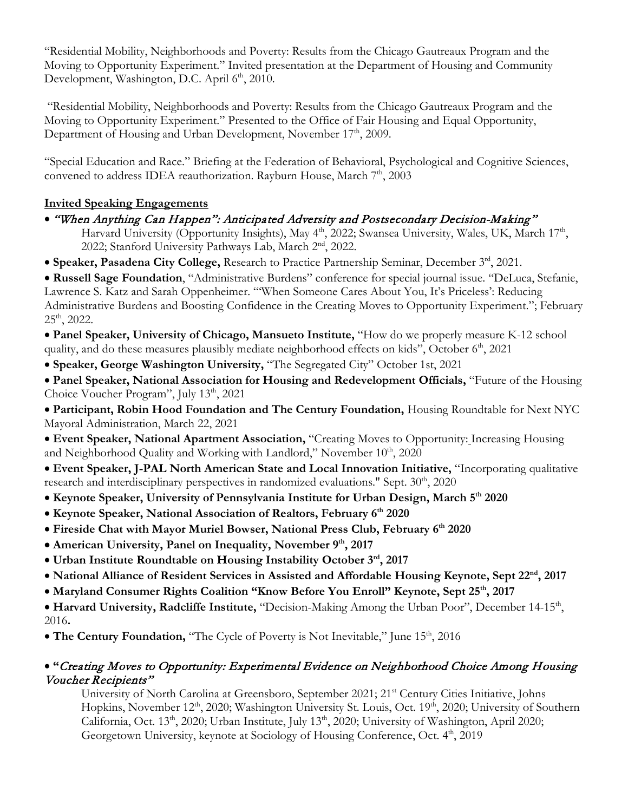"Residential Mobility, Neighborhoods and Poverty: Results from the Chicago Gautreaux Program and the Moving to Opportunity Experiment." Invited presentation at the Department of Housing and Community Development, Washington, D.C. April 6<sup>th</sup>, 2010.

"Residential Mobility, Neighborhoods and Poverty: Results from the Chicago Gautreaux Program and the Moving to Opportunity Experiment." Presented to the Office of Fair Housing and Equal Opportunity, Department of Housing and Urban Development, November 17<sup>th</sup>, 2009.

"Special Education and Race." Briefing at the Federation of Behavioral, Psychological and Cognitive Sciences, convened to address IDEA reauthorization. Rayburn House, March  $7<sup>th</sup>$ , 2003

## **Invited Speaking Engagements**

- "When Anything Can Happen": Anticipated Adversity and Postsecondary Decision-Making" Harvard University (Opportunity Insights), May 4<sup>th</sup>, 2022; Swansea University, Wales, UK, March 17<sup>th</sup>, 2022; Stanford University Pathways Lab, March 2<sup>nd</sup>, 2022.
- **Speaker, Pasadena City College,** Research to Practice Partnership Seminar, December 3rd, 2021.

• **Russell Sage Foundation**, "Administrative Burdens" conference for special journal issue. "DeLuca, Stefanie, Lawrence S. Katz and Sarah Oppenheimer. "'When Someone Cares About You, It's Priceless': Reducing Administrative Burdens and Boosting Confidence in the Creating Moves to Opportunity Experiment."; February  $25<sup>th</sup>$ , 2022.

• **Panel Speaker, University of Chicago, Mansueto Institute,** "How do we properly measure K-12 school quality, and do these measures plausibly mediate neighborhood effects on kids", October 6<sup>th</sup>, 2021

• **Speaker, George Washington University,** "The Segregated City" October 1st, 2021

• **Panel Speaker, National Association for Housing and Redevelopment Officials,** "Future of the Housing Choice Voucher Program", July 13<sup>th</sup>, 2021

• **Participant, Robin Hood Foundation and The Century Foundation,** Housing Roundtable for Next NYC Mayoral Administration, March 22, 2021

• **Event Speaker, National Apartment Association,** "Creating Moves to Opportunity: Increasing Housing and Neighborhood Quality and Working with Landlord," November 10<sup>th</sup>, 2020

• **Event Speaker, J-PAL North American State and Local Innovation Initiative,** "Incorporating qualitative research and interdisciplinary perspectives in randomized evaluations." Sept.  $30<sup>th</sup>$ ,  $2020$ 

- **Keynote Speaker, University of Pennsylvania Institute for Urban Design, March 5th 2020**
- **Keynote Speaker, National Association of Realtors, February 6th 2020**
- **Fireside Chat with Mayor Muriel Bowser, National Press Club, February 6th 2020**
- American University, Panel on Inequality, November 9<sup>th</sup>, 2017
- **Urban Institute Roundtable on Housing Instability October 3rd, 2017**
- **National Alliance of Resident Services in Assisted and Affordable Housing Keynote, Sept 22nd, 2017**
- Maryland Consumer Rights Coalition "Know Before You Enroll" Keynote, Sept 25<sup>th</sup>, 2017

• Harvard University, Radcliffe Institute, "Decision-Making Among the Urban Poor", December 14-15<sup>th</sup>, 2016**.** 

• The Century Foundation, "The Cycle of Poverty is Not Inevitable," June 15<sup>th</sup>, 2016

## • **"**Creating Moves to Opportunity: Experimental Evidence on Neighborhood Choice Among Housing Voucher Recipients"

University of North Carolina at Greensboro, September 2021; 21<sup>st</sup> Century Cities Initiative, Johns Hopkins, November 12<sup>th</sup>, 2020; Washington University St. Louis, Oct. 19<sup>th</sup>, 2020; University of Southern California, Oct. 13<sup>th</sup>, 2020; Urban Institute, July 13<sup>th</sup>, 2020; University of Washington, April 2020; Georgetown University, keynote at Sociology of Housing Conference, Oct. 4<sup>th</sup>, 2019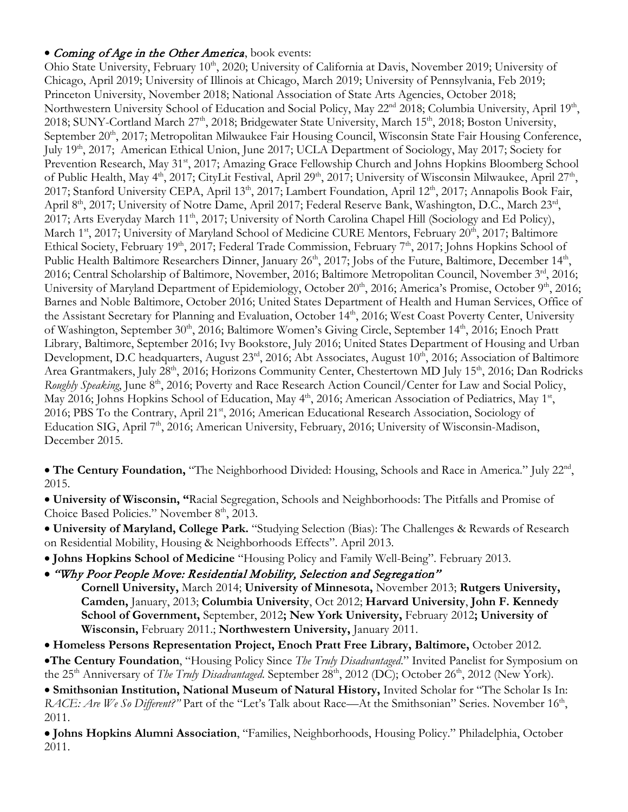## • Coming of Age in the Other America, book events:

Ohio State University, February 10<sup>th</sup>, 2020; University of California at Davis, November 2019; University of Chicago, April 2019; University of Illinois at Chicago, March 2019; University of Pennsylvania, Feb 2019; Princeton University, November 2018; National Association of State Arts Agencies, October 2018; Northwestern University School of Education and Social Policy, May 22<sup>nd</sup> 2018; Columbia University, April 19<sup>th</sup>, 2018; SUNY-Cortland March 27<sup>th</sup>, 2018; Bridgewater State University, March 15<sup>th</sup>, 2018; Boston University, September 20<sup>th</sup>, 2017; Metropolitan Milwaukee Fair Housing Council, Wisconsin State Fair Housing Conference, July 19<sup>th</sup>, 2017; American Ethical Union, June 2017; UCLA Department of Sociology, May 2017; Society for Prevention Research, May 31st, 2017; Amazing Grace Fellowship Church and Johns Hopkins Bloomberg School of Public Health, May 4<sup>th</sup>, 2017; CityLit Festival, April 29<sup>th</sup>, 2017; University of Wisconsin Milwaukee, April 27<sup>th</sup>, 2017; Stanford University CEPA, April 13<sup>th</sup>, 2017; Lambert Foundation, April 12<sup>th</sup>, 2017; Annapolis Book Fair, April 8<sup>th</sup>, 2017; University of Notre Dame, April 2017; Federal Reserve Bank, Washington, D.C., March 23<sup>rd</sup>, 2017; Arts Everyday March 11<sup>th</sup>, 2017; University of North Carolina Chapel Hill (Sociology and Ed Policy), March 1<sup>st</sup>, 2017; University of Maryland School of Medicine CURE Mentors, February 20<sup>th</sup>, 2017; Baltimore Ethical Society, February 19<sup>th</sup>, 2017; Federal Trade Commission, February 7<sup>th</sup>, 2017; Johns Hopkins School of Public Health Baltimore Researchers Dinner, January 26<sup>th</sup>, 2017; Jobs of the Future, Baltimore, December 14<sup>th</sup>, 2016; Central Scholarship of Baltimore, November, 2016; Baltimore Metropolitan Council, November 3rd, 2016; University of Maryland Department of Epidemiology, October 20<sup>th</sup>, 2016; America's Promise, October 9<sup>th</sup>, 2016; Barnes and Noble Baltimore, October 2016; United States Department of Health and Human Services, Office of the Assistant Secretary for Planning and Evaluation, October 14<sup>th</sup>, 2016; West Coast Poverty Center, University of Washington, September 30<sup>th</sup>, 2016; Baltimore Women's Giving Circle, September 14<sup>th</sup>, 2016; Enoch Pratt Library, Baltimore, September 2016; Ivy Bookstore, July 2016; United States Department of Housing and Urban Development, D.C headquarters, August 23rd, 2016; Abt Associates, August 10<sup>th</sup>, 2016; Association of Baltimore Area Grantmakers, July 28<sup>th</sup>, 2016; Horizons Community Center, Chestertown MD July 15<sup>th</sup>, 2016; Dan Rodricks *Roughly Speaking*, June 8<sup>th</sup>, 2016; Poverty and Race Research Action Council/Center for Law and Social Policy, May 2016; Johns Hopkins School of Education, May 4<sup>th</sup>, 2016; American Association of Pediatrics, May 1<sup>st</sup>, 2016; PBS To the Contrary, April 21<sup>st</sup>, 2016; American Educational Research Association, Sociology of Education SIG, April 7<sup>th</sup>, 2016; American University, February, 2016; University of Wisconsin-Madison, December 2015.

• **The Century Foundation,** "The Neighborhood Divided: Housing, Schools and Race in America." July 22nd, 2015.

• **University of Wisconsin, "**Racial Segregation, Schools and Neighborhoods: The Pitfalls and Promise of Choice Based Policies." November 8<sup>th</sup>, 2013.

• **University of Maryland, College Park.** "Studying Selection (Bias): The Challenges & Rewards of Research on Residential Mobility, Housing & Neighborhoods Effects". April 2013.

• **Johns Hopkins School of Medicine** "Housing Policy and Family Well-Being". February 2013.

• "Why Poor People Move: Residential Mobility, Selection and Segregation" **Cornell University,** March 2014; **University of Minnesota,** November 2013; **Rutgers University, Camden,** January, 2013; **Columbia University**, Oct 2012; **Harvard University**, **John F. Kennedy School of Government,** September, 2012**; New York University,** February 2012**; University of Wisconsin,** February 2011.; **Northwestern University,** January 2011.

• **Homeless Persons Representation Project, Enoch Pratt Free Library, Baltimore,** October 2012. •**The Century Foundation**, "Housing Policy Since *The Truly Disadvantaged*." Invited Panelist for Symposium on the 25<sup>th</sup> Anniversary of *The Truly Disadvantaged*. September 28<sup>th</sup>, 2012 (DC); October 26<sup>th</sup>, 2012 (New York).

• **Smithsonian Institution, National Museum of Natural History,** Invited Scholar for "The Scholar Is In: *RACE: Are We So Different?"* Part of the "Let's Talk about Race—At the Smithsonian" Series. November 16<sup>th</sup>, 2011.

• **Johns Hopkins Alumni Association**, "Families, Neighborhoods, Housing Policy." Philadelphia, October 2011.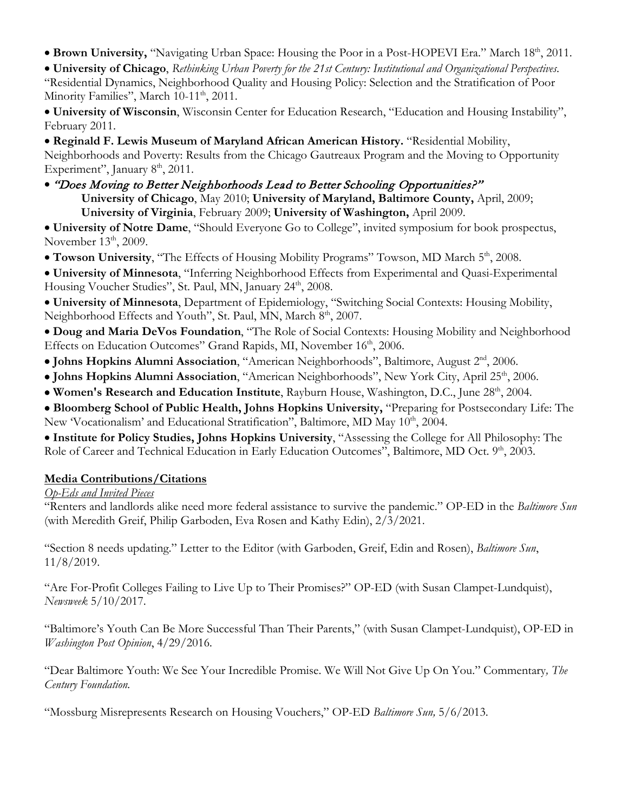• Brown University, "Navigating Urban Space: Housing the Poor in a Post-HOPEVI Era." March 18<sup>th</sup>, 2011.

• **University of Chicago**, *Rethinking Urban Poverty for the 21st Century: Institutional and Organizational Perspectives*. "Residential Dynamics, Neighborhood Quality and Housing Policy: Selection and the Stratification of Poor Minority Families", March 10-11<sup>th</sup>, 2011.

• **University of Wisconsin**, Wisconsin Center for Education Research, "Education and Housing Instability", February 2011.

• **Reginald F. Lewis Museum of Maryland African American History.** "Residential Mobility, Neighborhoods and Poverty: Results from the Chicago Gautreaux Program and the Moving to Opportunity Experiment", January  $8<sup>th</sup>$ , 2011.

• "Does Moving to Better Neighborhoods Lead to Better Schooling Opportunities?" **University of Chicago**, May 2010; **University of Maryland, Baltimore County,** April, 2009; **University of Virginia**, February 2009; **University of Washington,** April 2009.

• **University of Notre Dame**, "Should Everyone Go to College", invited symposium for book prospectus, November  $13<sup>th</sup>$ , 2009.

• Towson University, "The Effects of Housing Mobility Programs" Towson, MD March 5<sup>th</sup>, 2008.

• **University of Minnesota**, "Inferring Neighborhood Effects from Experimental and Quasi-Experimental Housing Voucher Studies", St. Paul, MN, January 24<sup>th</sup>, 2008.

• **University of Minnesota**, Department of Epidemiology, "Switching Social Contexts: Housing Mobility, Neighborhood Effects and Youth", St. Paul, MN, March 8<sup>th</sup>, 2007.

• **Doug and Maria DeVos Foundation**, "The Role of Social Contexts: Housing Mobility and Neighborhood Effects on Education Outcomes" Grand Rapids, MI, November 16th, 2006.

- **Johns Hopkins Alumni Association**, "American Neighborhoods", Baltimore, August 2nd, 2006.
- Johns Hopkins Alumni Association, "American Neighborhoods", New York City, April 25<sup>th</sup>, 2006.
- Women's Research and Education Institute, Rayburn House, Washington, D.C., June 28<sup>th</sup>, 2004.
- **Bloomberg School of Public Health, Johns Hopkins University,** "Preparing for Postsecondary Life: The New 'Vocationalism' and Educational Stratification", Baltimore, MD May 10<sup>th</sup>, 2004.

• **Institute for Policy Studies, Johns Hopkins University**, "Assessing the College for All Philosophy: The Role of Career and Technical Education in Early Education Outcomes", Baltimore, MD Oct. 9th, 2003.

## **Media Contributions/Citations**

### *Op-Eds and Invited Pieces*

"Renters and landlords alike need more federal assistance to survive the pandemic." OP-ED in the *Baltimore Sun* (with Meredith Greif, Philip Garboden, Eva Rosen and Kathy Edin), 2/3/2021.

"Section 8 needs updating." Letter to the Editor (with Garboden, Greif, Edin and Rosen), *Baltimore Sun*, 11/8/2019.

"Are For-Profit Colleges Failing to Live Up to Their Promises?" OP-ED (with Susan Clampet-Lundquist), *Newsweek* 5/10/2017.

"Baltimore's Youth Can Be More Successful Than Their Parents," (with Susan Clampet-Lundquist), OP-ED in *Washington Post Opinion*, 4/29/2016*.* 

"Dear Baltimore Youth: We See Your Incredible Promise. We Will Not Give Up On You." Commentary*, The Century Foundation.*

"Mossburg Misrepresents Research on Housing Vouchers," OP-ED *Baltimore Sun,* 5/6/2013.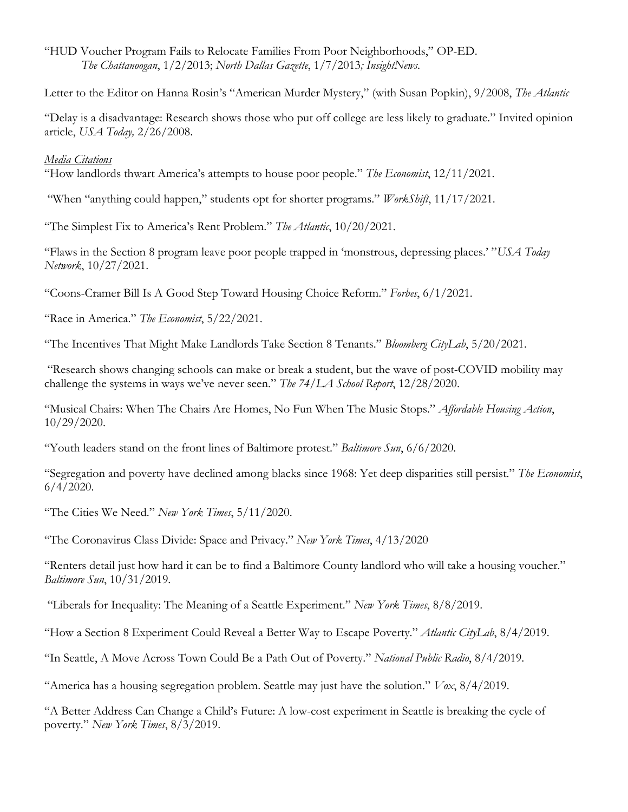"HUD Voucher Program Fails to Relocate Families From Poor Neighborhoods," OP-ED. *The Chattanoogan*, 1/2/2013; *North Dallas Gazette*, 1/7/2013*; InsightNews*.

Letter to the Editor on Hanna Rosin's "American Murder Mystery," (with Susan Popkin), 9/2008, *The Atlantic* 

"Delay is a disadvantage: Research shows those who put off college are less likely to graduate." Invited opinion article, *USA Today,* 2/26/2008.

#### *Media Citations*

"How landlords thwart America's attempts to house poor people." *The Economist*, 12/11/2021.

"When "anything could happen," students opt for shorter programs." *WorkShift*, 11/17/2021.

"The Simplest Fix to America's Rent Problem." *The Atlantic*, 10/20/2021.

"Flaws in the Section 8 program leave poor people trapped in 'monstrous, depressing places.' "*USA Today Network*, 10/27/2021.

"Coons-Cramer Bill Is A Good Step Toward Housing Choice Reform." *Forbes*, 6/1/2021.

"Race in America." *The Economist*, 5/22/2021.

"The Incentives That Might Make Landlords Take Section 8 Tenants." *Bloomberg CityLab*, 5/20/2021.

"Research shows changing schools can make or break a student, but the wave of post-COVID mobility may challenge the systems in ways we've never seen." *The 74*/*LA School Report*, 12/28/2020.

"Musical Chairs: When The Chairs Are Homes, No Fun When The Music Stops." *Affordable Housing Action*, 10/29/2020.

"Youth leaders stand on the front lines of Baltimore protest." *Baltimore Sun*, 6/6/2020.

"Segregation and poverty have declined among blacks since 1968: Yet deep disparities still persist." *The Economist*,  $6/4/2020$ .

"The Cities We Need." *New York Times*, 5/11/2020.

"The Coronavirus Class Divide: Space and Privacy." *New York Times*, 4/13/2020

"Renters detail just how hard it can be to find a Baltimore County landlord who will take a housing voucher." *Baltimore Sun*, 10/31/2019.

"Liberals for Inequality: The Meaning of a Seattle Experiment." *New York Times*, 8/8/2019.

"How a Section 8 Experiment Could Reveal a Better Way to Escape Poverty." *Atlantic CityLab*, 8/4/2019.

"In Seattle, A Move Across Town Could Be a Path Out of Poverty." *National Public Radio*, 8/4/2019.

"America has a housing segregation problem. Seattle may just have the solution." *Vox*, 8/4/2019.

"A Better Address Can Change a Child's Future: A low-cost experiment in Seattle is breaking the cycle of poverty." *New York Times*, 8/3/2019.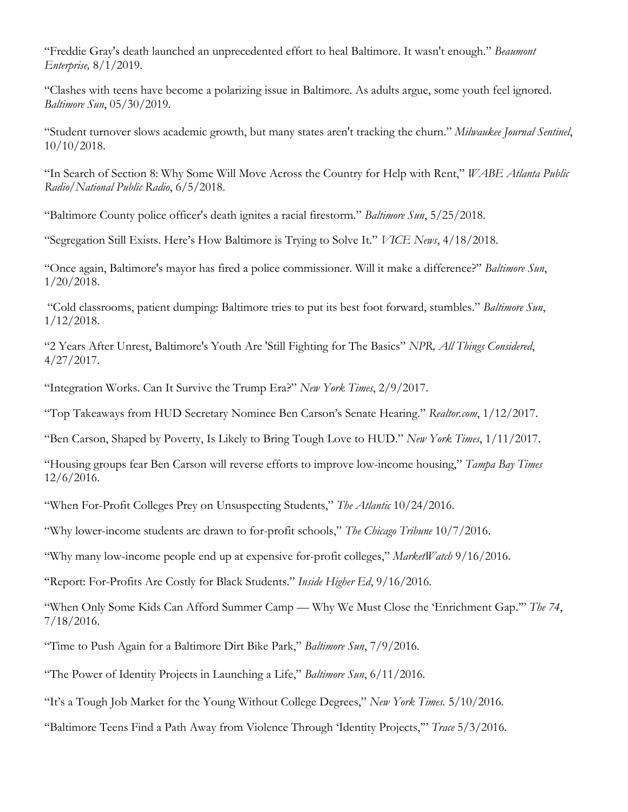"Freddie Gray's death launched an unprecedented effort to heal Baltimore. It wasn't enough." *Beaumont Enterprise,* 8/1/2019.

"Clashes with teens have become a polarizing issue in Baltimore. As adults argue, some youth feel ignored. *Baltimore Sun*, 05/30/2019.

"Student turnover slows academic growth, but many states aren't tracking the churn." *Milwaukee Journal Sentinel*, 10/10/2018.

"In Search of Section 8: Why Some Will Move Across the Country for Help with Rent," *WABE Atlanta Public Radio/National Public Radio*, 6/5/2018.

"Baltimore County police officer's death ignites a racial firestorm." *Baltimore Sun*, 5/25/2018.

"Segregation Still Exists. Here's How Baltimore is Trying to Solve It." *VICE News*, 4/18/2018.

"Once again, Baltimore's mayor has fired a police commissioner. Will it make a difference?" *Baltimore Sun*, 1/20/2018.

"Cold classrooms, patient dumping: Baltimore tries to put its best foot forward, stumbles." *Baltimore Sun*, 1/12/2018.

"2 Years After Unrest, Baltimore's Youth Are 'Still Fighting for The Basics" *NPR, All Things Considered*, 4/27/2017.

"Integration Works. Can It Survive the Trump Era?" *New York Times*, 2/9/2017.

"Top Takeaways from HUD Secretary Nominee Ben Carson's Senate Hearing." *Realtor.com*, 1/12/2017.

"Ben Carson, Shaped by Poverty, Is Likely to Bring Tough Love to HUD." *New York Times*, 1/11/2017.

"Housing groups fear Ben Carson will reverse efforts to improve low-income housing," *Tampa Bay Times*  12/6/2016.

"When For-Profit Colleges Prey on Unsuspecting Students," *The Atlantic* 10/24/2016.

"Why lower-income students are drawn to for-profit schools," *The Chicago Tribune* 10/7/2016.

"Why many low-income people end up at expensive for-profit colleges," *MarketWatch* 9/16/2016.

"Report: For-Profits Are Costly for Black Students." *Inside Higher Ed*, 9/16/2016.

"When Only Some Kids Can Afford Summer Camp — Why We Must Close the 'Enrichment Gap.'" *The 74*, 7/18/2016.

"Time to Push Again for a Baltimore Dirt Bike Park," *Baltimore Sun*, 7/9/2016.

"The Power of Identity Projects in Launching a Life," *Baltimore Sun*, 6/11/2016.

"It's a Tough Job Market for the Young Without College Degrees," *New York Times.* 5/10/2016*.*

"Baltimore Teens Find a Path Away from Violence Through 'Identity Projects,'" *Trace* 5/3/2016*.*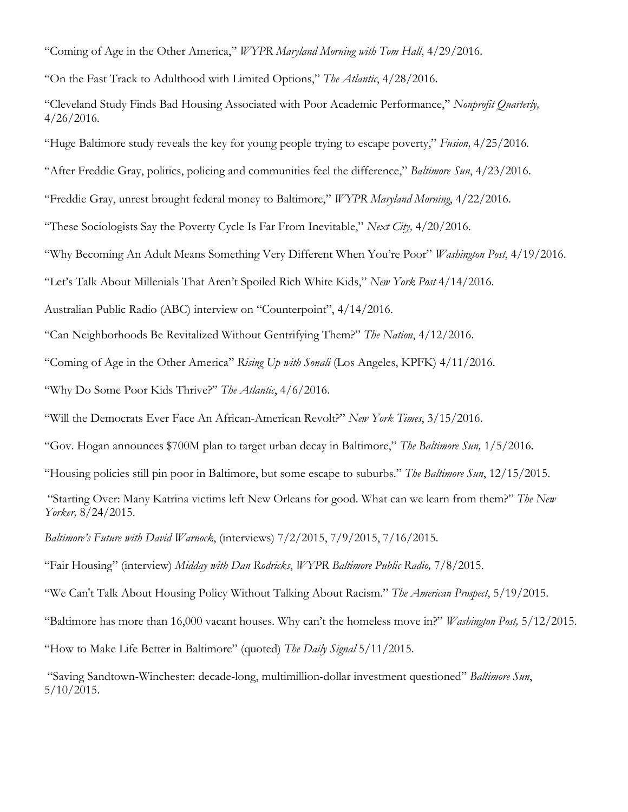"Coming of Age in the Other America," *WYPR Maryland Morning with Tom Hall*, 4/29/2016.

"On the Fast Track to Adulthood with Limited Options," *The Atlantic*, 4/28/2016.

"Cleveland Study Finds Bad Housing Associated with Poor Academic Performance," *Nonprofit Quarterly,*  4/26/2016*.*

"Huge Baltimore study reveals the key for young people trying to escape poverty," *Fusion,* 4/25/2016*.*

"After Freddie Gray, politics, policing and communities feel the difference," *Baltimore Sun*, 4/23/2016.

"Freddie Gray, unrest brought federal money to Baltimore," *WYPR Maryland Morning*, 4/22/2016.

"These Sociologists Say the Poverty Cycle Is Far From Inevitable," *Next City,* 4/20/2016.

"Why Becoming An Adult Means Something Very Different When You're Poor" *Washington Post*, 4/19/2016.

"Let's Talk About Millenials That Aren't Spoiled Rich White Kids," *New York Post* 4/14/2016.

Australian Public Radio (ABC) interview on "Counterpoint", 4/14/2016.

"Can Neighborhoods Be Revitalized Without Gentrifying Them?" *The Nation*, 4/12/2016.

"Coming of Age in the Other America" *Rising Up with Sonali* (Los Angeles, KPFK) 4/11/2016.

"Why Do Some Poor Kids Thrive?" *The Atlantic*, 4/6/2016.

"Will the Democrats Ever Face An African-American Revolt?" *New York Times*, 3/15/2016.

"Gov. Hogan announces \$700M plan to target urban decay in Baltimore," *The Baltimore Sun,* 1/5/2016.

"Housing policies still pin poor in Baltimore, but some escape to suburbs." *The Baltimore Sun*, 12/15/2015.

"Starting Over: Many Katrina victims left New Orleans for good. What can we learn from them?" *The New Yorker,* 8/24/2015.

*Baltimore's Future with David Warnock*, (interviews) 7/2/2015, 7/9/2015, 7/16/2015.

"Fair Housing" (interview) *Midday with Dan Rodricks*, *WYPR Baltimore Public Radio,* 7/8/2015.

"We Can't Talk About Housing Policy Without Talking About Racism." *The American Prospect*, 5/19/2015.

"Baltimore has more than 16,000 vacant houses. Why can't the homeless move in?" *Washington Post,* 5/12/2015.

"How to Make Life Better in Baltimore" (quoted) *The Daily Signal* 5/11/2015.

"Saving Sandtown-Winchester: decade-long, multimillion-dollar investment questioned" *Baltimore Sun*, 5/10/2015.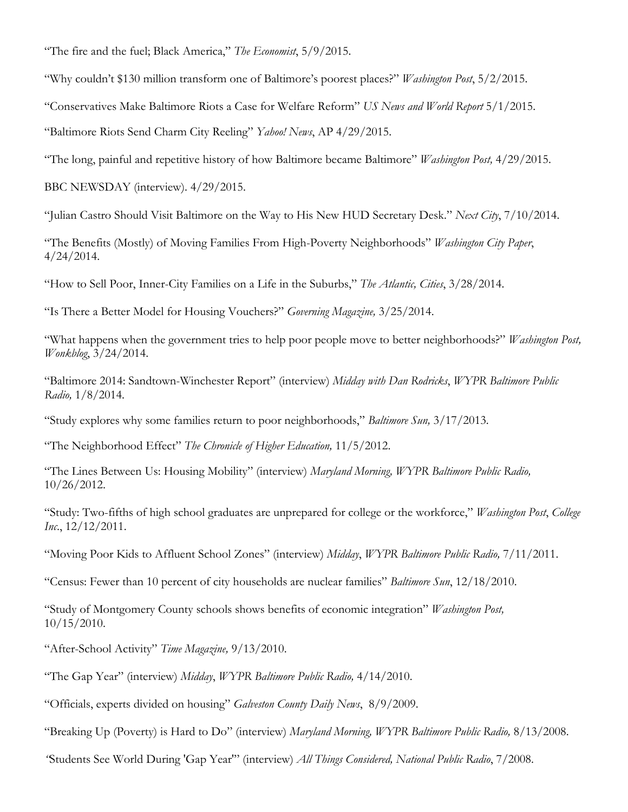"The fire and the fuel; Black America," *The Economist*, 5/9/2015.

"Why couldn't \$130 million transform one of Baltimore's poorest places?" *Washington Post*, 5/2/2015.

"Conservatives Make Baltimore Riots a Case for Welfare Reform" *US News and World Report* 5/1/2015.

"Baltimore Riots Send Charm City Reeling" *Yahoo! News*, AP 4/29/2015.

"The long, painful and repetitive history of how Baltimore became Baltimore" *Washington Post,* 4/29/2015.

BBC NEWSDAY (interview). 4/29/2015.

"Julian Castro Should Visit Baltimore on the Way to His New HUD Secretary Desk." *Next City*, 7/10/2014.

"The Benefits (Mostly) of Moving Families From High-Poverty Neighborhoods" *Washington City Paper*, 4/24/2014.

"How to Sell Poor, Inner-City Families on a Life in the Suburbs," *The Atlantic, Cities*, 3/28/2014.

"Is There a Better Model for Housing Vouchers?" *Governing Magazine,* 3/25/2014.

"What happens when the government tries to help poor people move to better neighborhoods?" *Washington Post, Wonkblog*, 3/24/2014.

"Baltimore 2014: Sandtown-Winchester Report" (interview) *Midday with Dan Rodricks*, *WYPR Baltimore Public Radio,* 1/8/2014.

"Study explores why some families return to poor neighborhoods," *Baltimore Sun,* 3/17/2013.

"The Neighborhood Effect" *The Chronicle of Higher Education,* 11/5/2012.

"The Lines Between Us: Housing Mobility" (interview) *Maryland Morning, WYPR Baltimore Public Radio,*  10/26/2012.

"Study: Two-fifths of high school graduates are unprepared for college or the workforce," *Washington Post*, *College Inc*., 12/12/2011.

"Moving Poor Kids to Affluent School Zones" (interview) *Midday*, *WYPR Baltimore Public Radio,* 7/11/2011.

"Census: Fewer than 10 percent of city households are nuclear families" *Baltimore Sun*, 12/18/2010.

"Study of Montgomery County schools shows benefits of economic integration" *Washington Post,* 10/15/2010.

"After-School Activity" *Time Magazine,* 9/13/2010.

"The Gap Year" (interview) *Midday*, *WYPR Baltimore Public Radio,* 4/14/2010.

"Officials, experts divided on housing" *Galveston County Daily News*, 8/9/2009.

"Breaking Up (Poverty) is Hard to Do" (interview) *Maryland Morning, WYPR Baltimore Public Radio,* 8/13/2008.

*"*Students See World During 'Gap Year'" (interview) *All Things Considered, National Public Radio*, 7/2008.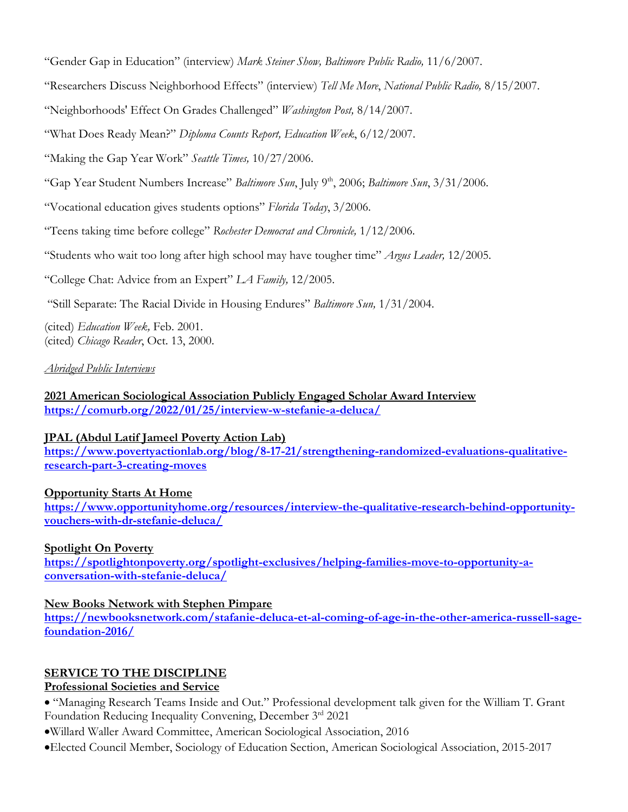"Gender Gap in Education" (interview) *Mark Steiner Show, Baltimore Public Radio,* 11/6/2007.

"Researchers Discuss Neighborhood Effects" (interview) *Tell Me More*, *National Public Radio,* 8/15/2007.

"Neighborhoods' Effect On Grades Challenged" *Washington Post,* 8/14/2007.

"What Does Ready Mean?" *Diploma Counts Report, Education Week*, 6/12/2007.

"Making the Gap Year Work" *Seattle Times,* 10/27/2006.

"Gap Year Student Numbers Increase" *Baltimore Sun*, July 9th, 2006; *Baltimore Sun*, 3/31/2006.

"Vocational education gives students options" *Florida Today*, 3/2006.

"Teens taking time before college" *Rochester Democrat and Chronicle,* 1/12/2006.

"Students who wait too long after high school may have tougher time" *Argus Leader,* 12/2005.

"College Chat: Advice from an Expert" *LA Family,* 12/2005.

"Still Separate: The Racial Divide in Housing Endures" *Baltimore Sun,* 1/31/2004.

(cited) *Education Week,* Feb. 2001. (cited) *Chicago Reader*, Oct. 13, 2000.

*Abridged Public Interviews*

**2021 American Sociological Association Publicly Engaged Scholar Award Interview <https://comurb.org/2022/01/25/interview-w-stefanie-a-deluca/>**

### **JPAL (Abdul Latif Jameel Poverty Action Lab)**

**[https://www.povertyactionlab.org/blog/8-17-21/strengthening-randomized-evaluations-qualitative](https://www.povertyactionlab.org/blog/8-17-21/strengthening-randomized-evaluations-qualitative-research-part-3-creating-moves)[research-part-3-creating-moves](https://www.povertyactionlab.org/blog/8-17-21/strengthening-randomized-evaluations-qualitative-research-part-3-creating-moves)**

### **Opportunity Starts At Home**

**[https://www.opportunityhome.org/resources/interview-the-qualitative-research-behind-opportunity](https://www.opportunityhome.org/resources/interview-the-qualitative-research-behind-opportunity-vouchers-with-dr-stefanie-deluca/)[vouchers-with-dr-stefanie-deluca/](https://www.opportunityhome.org/resources/interview-the-qualitative-research-behind-opportunity-vouchers-with-dr-stefanie-deluca/)**

### **Spotlight On Poverty**

**[https://spotlightonpoverty.org/spotlight-exclusives/helping-families-move-to-opportunity-a](https://spotlightonpoverty.org/spotlight-exclusives/helping-families-move-to-opportunity-a-conversation-with-stefanie-deluca/)[conversation-with-stefanie-deluca/](https://spotlightonpoverty.org/spotlight-exclusives/helping-families-move-to-opportunity-a-conversation-with-stefanie-deluca/)**

### **New Books Network with Stephen Pimpare**

**[https://newbooksnetwork.com/stafanie-deluca-et-al-coming-of-age-in-the-other-america-russell-sage](https://newbooksnetwork.com/stafanie-deluca-et-al-coming-of-age-in-the-other-america-russell-sage-foundation-2016/)[foundation-2016/](https://newbooksnetwork.com/stafanie-deluca-et-al-coming-of-age-in-the-other-america-russell-sage-foundation-2016/)**

## **SERVICE TO THE DISCIPLINE**

### **Professional Societies and Service**

• "Managing Research Teams Inside and Out." Professional development talk given for the William T. Grant Foundation Reducing Inequality Convening, December 3rd 2021

•Willard Waller Award Committee, American Sociological Association, 2016

•Elected Council Member, Sociology of Education Section, American Sociological Association, 2015-2017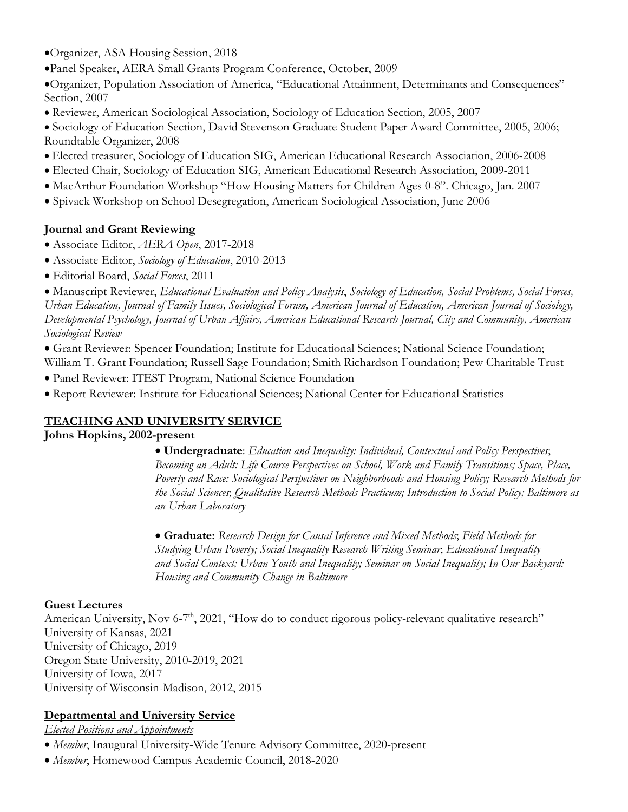•Organizer, ASA Housing Session, 2018

•Panel Speaker, AERA Small Grants Program Conference, October, 2009

•Organizer, Population Association of America, "Educational Attainment, Determinants and Consequences" Section, 2007

• Reviewer, American Sociological Association, Sociology of Education Section, 2005, 2007

• Sociology of Education Section, David Stevenson Graduate Student Paper Award Committee, 2005, 2006; Roundtable Organizer, 2008

- Elected treasurer, Sociology of Education SIG, American Educational Research Association, 2006-2008
- Elected Chair, Sociology of Education SIG, American Educational Research Association, 2009-2011
- MacArthur Foundation Workshop "How Housing Matters for Children Ages 0-8". Chicago, Jan. 2007
- Spivack Workshop on School Desegregation, American Sociological Association, June 2006

## **Journal and Grant Reviewing**

- Associate Editor, *AERA Open*, 2017-2018
- Associate Editor, *Sociology of Education*, 2010-2013
- Editorial Board, *Social Forces*, 2011

• Manuscript Reviewer, *Educational Evaluation and Policy Analysis*, *Sociology of Education, Social Problems, Social Forces, Urban Education, Journal of Family Issues, Sociological Forum, American Journal of Education, American Journal of Sociology, Developmental Psychology, Journal of Urban Affairs, American Educational Research Journal, City and Community, American Sociological Review*

• Grant Reviewer: Spencer Foundation; Institute for Educational Sciences; National Science Foundation; William T. Grant Foundation; Russell Sage Foundation; Smith Richardson Foundation; Pew Charitable Trust

- Panel Reviewer: ITEST Program, National Science Foundation
- Report Reviewer: Institute for Educational Sciences; National Center for Educational Statistics

## **TEACHING AND UNIVERSITY SERVICE**

### **Johns Hopkins, 2002-present**

• **Undergraduate**: *Education and Inequality: Individual, Contextual and Policy Perspectives*; *Becoming an Adult: Life Course Perspectives on School, Work and Family Transitions; Space, Place, Poverty and Race: Sociological Perspectives on Neighborhoods and Housing Policy; Research Methods for the Social Sciences*; *Qualitative Research Methods Practicum; Introduction to Social Policy; Baltimore as an Urban Laboratory*

• **Graduate:** *Research Design for Causal Inference and Mixed Methods*; *Field Methods for Studying Urban Poverty; Social Inequality Research Writing Seminar*; *Educational Inequality and Social Context; Urban Youth and Inequality; Seminar on Social Inequality; In Our Backyard: Housing and Community Change in Baltimore*

## **Guest Lectures**

American University, Nov 6-7<sup>th</sup>, 2021, "How do to conduct rigorous policy-relevant qualitative research" University of Kansas, 2021 University of Chicago, 2019 Oregon State University, 2010-2019, 2021 University of Iowa, 2017 University of Wisconsin-Madison, 2012, 2015

## **Departmental and University Service**

*Elected Positions and Appointments*

- *Member*, Inaugural University-Wide Tenure Advisory Committee, 2020-present
- *Member*, Homewood Campus Academic Council, 2018-2020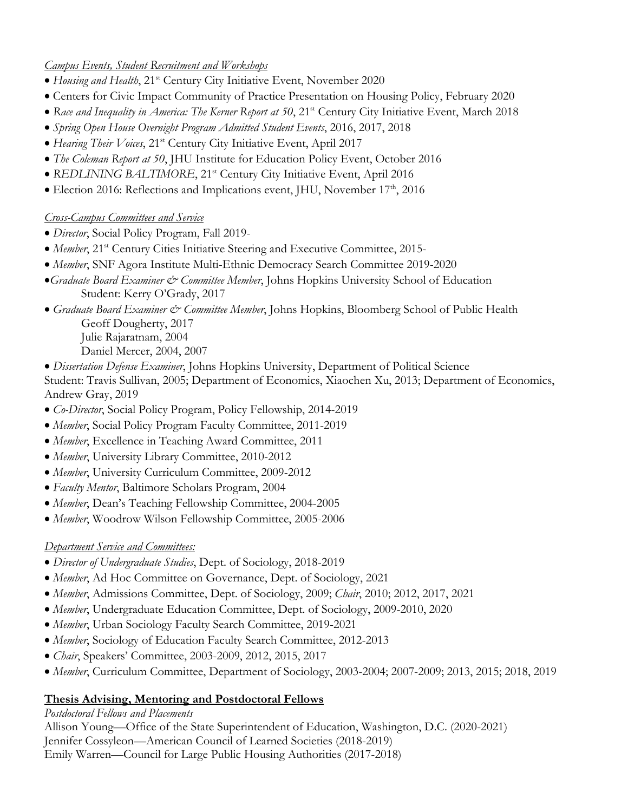## *Campus Events, Student Recruitment and Workshops*

- *Housing and Health*, 21st Century City Initiative Event, November 2020
- Centers for Civic Impact Community of Practice Presentation on Housing Policy, February 2020
- Race and Inequality in America: The Kerner Report at 50, 21<sup>st</sup> Century City Initiative Event, March 2018
- *Spring Open House Overnight Program Admitted Student Events*, 2016, 2017, 2018
- *Hearing Their Voices*, 21st Century City Initiative Event, April 2017
- *The Coleman Report at 50*, JHU Institute for Education Policy Event, October 2016
- *REDLINING BALTIMORE*, 21st Century City Initiative Event, April 2016
- Election 2016: Reflections and Implications event, JHU, November  $17<sup>th</sup>$ , 2016

## *Cross-Campus Committees and Service*

- *Director*, Social Policy Program, Fall 2019-
- *Member*, 21<sup>st</sup> Century Cities Initiative Steering and Executive Committee, 2015-
- *Member*, SNF Agora Institute Multi-Ethnic Democracy Search Committee 2019-2020
- •*Graduate Board Examiner & Committee Member*, Johns Hopkins University School of Education Student: Kerry O'Grady, 2017
- *Graduate Board Examiner & Committee Member*, Johns Hopkins, Bloomberg School of Public Health Geoff Dougherty, 2017 Julie Rajaratnam, 2004

Daniel Mercer, 2004, 2007

- *Dissertation Defense Examiner*, Johns Hopkins University, Department of Political Science Student: Travis Sullivan, 2005; Department of Economics, Xiaochen Xu, 2013; Department of Economics, Andrew Gray, 2019
- *Co-Director*, Social Policy Program, Policy Fellowship, 2014-2019
- *Member*, Social Policy Program Faculty Committee, 2011-2019
- *Member*, Excellence in Teaching Award Committee, 2011
- *Member*, University Library Committee, 2010-2012
- *Member*, University Curriculum Committee, 2009-2012
- *Faculty Mentor*, Baltimore Scholars Program, 2004
- *Member*, Dean's Teaching Fellowship Committee, 2004-2005
- *Member*, Woodrow Wilson Fellowship Committee, 2005-2006

# *Department Service and Committees:*

- *Director of Undergraduate Studies*, Dept. of Sociology, 2018-2019
- *Member*, Ad Hoc Committee on Governance, Dept. of Sociology, 2021
- *Member*, Admissions Committee, Dept. of Sociology, 2009; *Chair*, 2010; 2012, 2017, 2021
- *Member*, Undergraduate Education Committee, Dept. of Sociology, 2009-2010, 2020
- *Member*, Urban Sociology Faculty Search Committee, 2019-2021
- *Member*, Sociology of Education Faculty Search Committee, 2012-2013
- *Chair*, Speakers' Committee, 2003-2009, 2012, 2015, 2017
- *Member*, Curriculum Committee, Department of Sociology, 2003-2004; 2007-2009; 2013, 2015; 2018, 2019

# **Thesis Advising, Mentoring and Postdoctoral Fellows**

## *Postdoctoral Fellows and Placements*

Allison Young—Office of the State Superintendent of Education, Washington, D.C. (2020-2021) Jennifer Cossyleon—American Council of Learned Societies (2018-2019) Emily Warren—Council for Large Public Housing Authorities (2017-2018)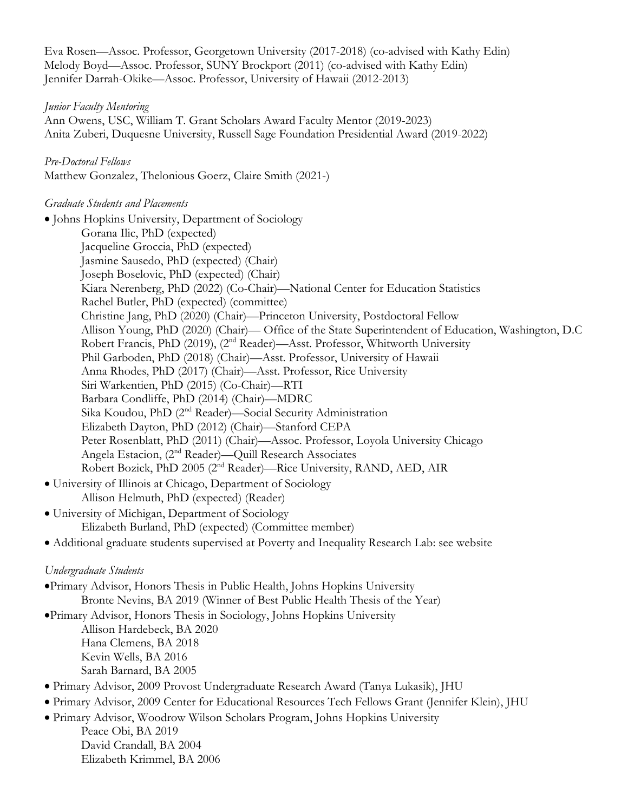Eva Rosen—Assoc. Professor, Georgetown University (2017-2018) (co-advised with Kathy Edin) Melody Boyd—Assoc. Professor, SUNY Brockport (2011) (co-advised with Kathy Edin) Jennifer Darrah-Okike—Assoc. Professor, University of Hawaii (2012-2013)

#### *Junior Faculty Mentoring*

Ann Owens, USC, William T. Grant Scholars Award Faculty Mentor (2019-2023) Anita Zuberi, Duquesne University, Russell Sage Foundation Presidential Award (2019-2022)

#### *Pre-Doctoral Fellows*

Matthew Gonzalez, Thelonious Goerz, Claire Smith (2021-)

#### *Graduate Students and Placements*

• Johns Hopkins University, Department of Sociology Gorana Ilic, PhD (expected) Jacqueline Groccia, PhD (expected) Jasmine Sausedo, PhD (expected) (Chair) Joseph Boselovic, PhD (expected) (Chair) Kiara Nerenberg, PhD (2022) (Co-Chair)—National Center for Education Statistics Rachel Butler, PhD (expected) (committee) Christine Jang, PhD (2020) (Chair)—Princeton University, Postdoctoral Fellow Allison Young, PhD (2020) (Chair)— Office of the State Superintendent of Education, Washington, D.C Robert Francis, PhD (2019), (2nd Reader)—Asst. Professor, Whitworth University Phil Garboden, PhD (2018) (Chair)—Asst. Professor, University of Hawaii Anna Rhodes, PhD (2017) (Chair)—Asst. Professor, Rice University Siri Warkentien, PhD (2015) (Co-Chair)—RTI Barbara Condliffe, PhD (2014) (Chair)—MDRC Sika Koudou, PhD (2nd Reader)—Social Security Administration Elizabeth Dayton, PhD (2012) (Chair)—Stanford CEPA Peter Rosenblatt, PhD (2011) (Chair)—Assoc. Professor, Loyola University Chicago Angela Estacion, (2nd Reader)—Quill Research Associates Robert Bozick, PhD 2005 (2nd Reader)—Rice University, RAND, AED, AIR • University of Illinois at Chicago, Department of Sociology Allison Helmuth, PhD (expected) (Reader)

• University of Michigan, Department of Sociology Elizabeth Burland, PhD (expected) (Committee member)

• Additional graduate students supervised at Poverty and Inequality Research Lab: see website

### *Undergraduate Students*

- •Primary Advisor, Honors Thesis in Public Health, Johns Hopkins University Bronte Nevins, BA 2019 (Winner of Best Public Health Thesis of the Year)
- •Primary Advisor, Honors Thesis in Sociology, Johns Hopkins University Allison Hardebeck, BA 2020 Hana Clemens, BA 2018 Kevin Wells, BA 2016 Sarah Barnard, BA 2005
- Primary Advisor, 2009 Provost Undergraduate Research Award (Tanya Lukasik), JHU
- Primary Advisor, 2009 Center for Educational Resources Tech Fellows Grant (Jennifer Klein), JHU
- Primary Advisor, Woodrow Wilson Scholars Program, Johns Hopkins University Peace Obi, BA 2019 David Crandall, BA 2004 Elizabeth Krimmel, BA 2006